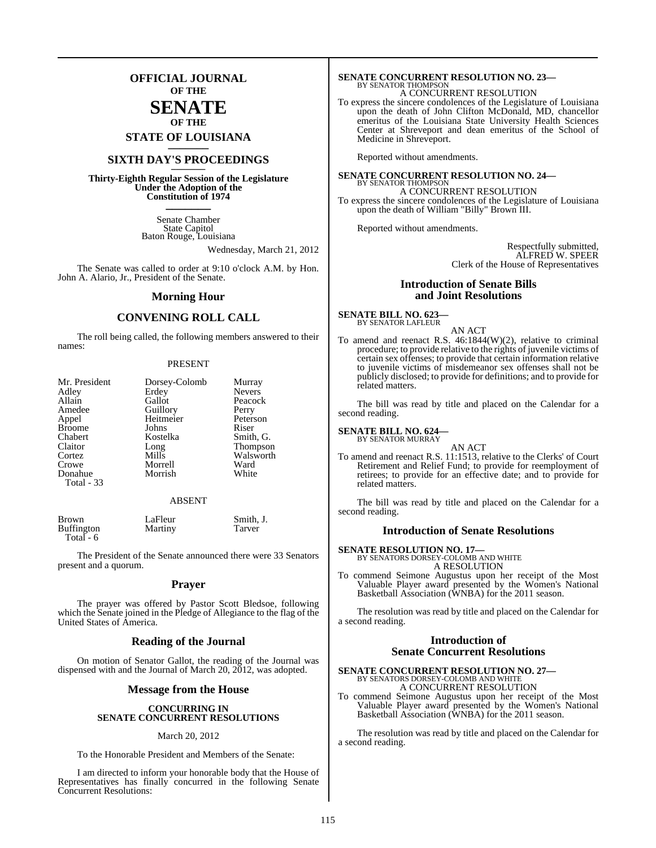## **OFFICIAL JOURNAL OF THE**

### **SENATE OF THE**

**STATE OF LOUISIANA \_\_\_\_\_\_\_**

## **SIXTH DAY'S PROCEEDINGS \_\_\_\_\_\_\_**

**Thirty-Eighth Regular Session of the Legislature Under the Adoption of the Constitution of 1974 \_\_\_\_\_\_\_**

> Senate Chamber State Capitol Baton Rouge, Louisiana

> > Wednesday, March 21, 2012

The Senate was called to order at 9:10 o'clock A.M. by Hon. John A. Alario, Jr., President of the Senate.

#### **Morning Hour**

### **CONVENING ROLL CALL**

The roll being called, the following members answered to their names:

#### PRESENT

| Mr. President<br>Adley<br>Allain<br>Amedee<br>Appel<br><b>Broome</b><br>Chabert<br>Claitor<br>Cortez<br>Crowe<br>Donahue<br>Total - 33 | Dorsey-Colomb<br>Erdey<br>Gallot<br>Guillory<br>Heitmeier<br>Johns<br>Kostelka<br>Long<br>Mills<br>Morrell<br>Morrish | Murray<br><b>Nevers</b><br>Peacock<br>Perry<br>Peterson<br>Riser<br>Smith, G.<br>Thompson<br>Walsworth<br>Ward<br>White |
|----------------------------------------------------------------------------------------------------------------------------------------|-----------------------------------------------------------------------------------------------------------------------|-------------------------------------------------------------------------------------------------------------------------|
|----------------------------------------------------------------------------------------------------------------------------------------|-----------------------------------------------------------------------------------------------------------------------|-------------------------------------------------------------------------------------------------------------------------|

#### ABSENT

| <b>Brown</b>      | LaFleur | Smith, J. |
|-------------------|---------|-----------|
| <b>Buffington</b> | Martiny | Tarver    |

Total - 6

The President of the Senate announced there were 33 Senators present and a quorum.

#### **Prayer**

The prayer was offered by Pastor Scott Bledsoe, following which the Senate joined in the Pledge of Allegiance to the flag of the United States of America.

#### **Reading of the Journal**

On motion of Senator Gallot, the reading of the Journal was dispensed with and the Journal of March 20, 2012, was adopted.

#### **Message from the House**

#### **CONCURRING IN SENATE CONCURRENT RESOLUTIONS**

#### March 20, 2012

To the Honorable President and Members of the Senate:

I am directed to inform your honorable body that the House of Representatives has finally concurred in the following Senate Concurrent Resolutions:

# **SENATE CONCURRENT RESOLUTION NO. 23—** BY SENATOR THOMPSON

A CONCURRENT RESOLUTION

To express the sincere condolences of the Legislature of Louisiana upon the death of John Clifton McDonald, MD, chancellor emeritus of the Louisiana State University Health Sciences Center at Shreveport and dean emeritus of the School of Medicine in Shreveport.

Reported without amendments.

**SENATE CONCURRENT RESOLUTION NO. 24—** BY SENATOR THOMPSON A CONCURRENT RESOLUTION To express the sincere condolences of the Legislature of Louisiana upon the death of William "Billy" Brown III.

Reported without amendments.

Respectfully submitted, ALFRED W. SPEER Clerk of the House of Representatives

#### **Introduction of Senate Bills and Joint Resolutions**

#### **SENATE BILL NO. 623—** BY SENATOR LAFLEUR

- AN ACT
- To amend and reenact R.S. 46:1844(W)(2), relative to criminal procedure; to provide relative to the rights of juvenile victims of certain sex offenses; to provide that certain information relative to juvenile victims of misdemeanor sex offenses shall not be publicly disclosed; to provide for definitions; and to provide for related matters.

The bill was read by title and placed on the Calendar for a second reading.

#### **SENATE BILL NO. 624—** BY SENATOR MURRAY

AN ACT To amend and reenact R.S. 11:1513, relative to the Clerks' of Court Retirement and Relief Fund; to provide for reemployment of retirees; to provide for an effective date; and to provide for related matters.

The bill was read by title and placed on the Calendar for a second reading.

#### **Introduction of Senate Resolutions**

**SENATE RESOLUTION NO. 17—** BY SENATORS DORSEY-COLOMB AND WHITE

A RESOLUTION

To commend Seimone Augustus upon her receipt of the Most Valuable Player award presented by the Women's National Basketball Association (WNBA) for the 2011 season.

The resolution was read by title and placed on the Calendar for a second reading.

### **Introduction of Senate Concurrent Resolutions**

**SENATE CONCURRENT RESOLUTION NO. 27—** BY SENATORS DORSEY-COLOMB AND WHITE A CONCURRENT RESOLUTION

To commend Seimone Augustus upon her receipt of the Most Valuable Player award presented by the Women's National Basketball Association (WNBA) for the 2011 season.

The resolution was read by title and placed on the Calendar for a second reading.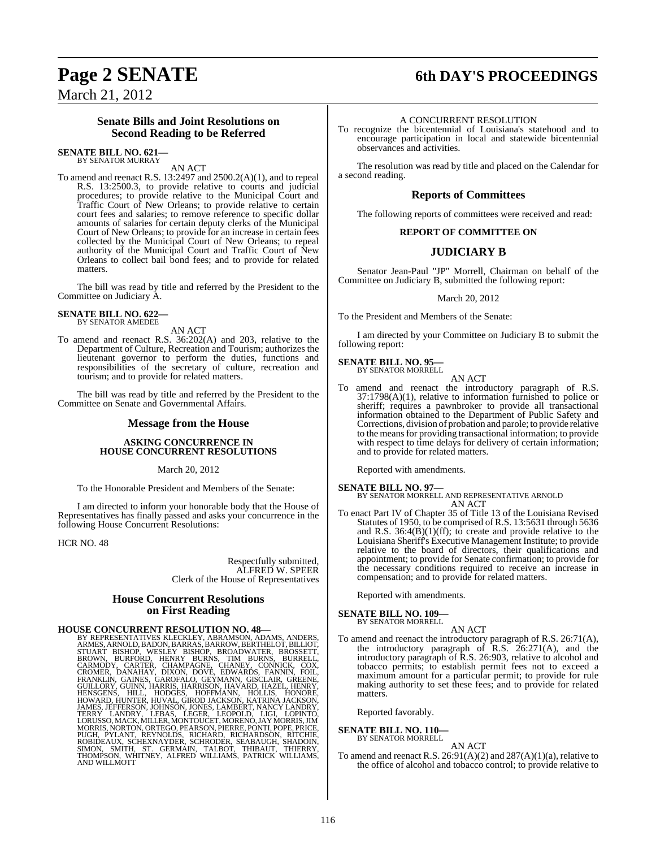## **Page 2 SENATE 6th DAY'S PROCEEDINGS**

March 21, 2012

#### **Senate Bills and Joint Resolutions on Second Reading to be Referred**

#### **SENATE BILL NO. 621—** BY SENATOR MURRAY

AN ACT

To amend and reenact R.S. 13:2497 and 2500.2(A)(1), and to repeal R.S. 13:2500.3, to provide relative to courts and judicial procedures; to provide relative to the Municipal Court and Traffic Court of New Orleans; to provide relative to certain court fees and salaries; to remove reference to specific dollar amounts of salaries for certain deputy clerks of the Municipal Court of New Orleans; to provide for an increase in certain fees collected by the Municipal Court of New Orleans; to repeal authority of the Municipal Court and Traffic Court of New Orleans to collect bail bond fees; and to provide for related matters.

The bill was read by title and referred by the President to the Committee on Judiciary A.

#### **SENATE BILL NO. 622—** BY SENATOR AMEDEE

AN ACT

To amend and reenact R.S. 36:202(A) and 203, relative to the Department of Culture, Recreation and Tourism; authorizes the lieutenant governor to perform the duties, functions and responsibilities of the secretary of culture, recreation and tourism; and to provide for related matters.

The bill was read by title and referred by the President to the Committee on Senate and Governmental Affairs.

#### **Message from the House**

#### **ASKING CONCURRENCE IN HOUSE CONCURRENT RESOLUTIONS**

March 20, 2012

To the Honorable President and Members of the Senate:

I am directed to inform your honorable body that the House of Representatives has finally passed and asks your concurrence in the following House Concurrent Resolutions:

HCR NO. 48

Respectfully submitted, ALFRED W. SPEER Clerk of the House of Representatives

### **House Concurrent Resolutions on First Reading**

HOUSE CONCURRENT RESOLUTION NO. 48<br>BY REPRESENTATIVES KLECKLEY, ABRAMSON, ADAMS, ANDERS, ARMES, ARNOLD, BADON, BARRAS, BARROW, BERTHELOT, BILLIOT,<br>STUART BISHOP, WESLEY BISHOP, BROADWATER, BROSSETT,<br>BROWN, BURFORD, HENRY B PUGH, PYLANT, REYNOLDS, RICHARD, RICHARDSÓN, RÍTCHIE,<br>ROBIDEAUX, SCHEXNAYDER, SCHRODER, SEABAUGH, SHADOIN,<br>SIMON, SMITH, ST. GERMAIN, TALBOT, THIBAUT, THIERRY,<br>THOMPSON, WHITNEY, ALFRED WILLIAMS, PATRICK WILLIAMS, AND WILLMOTT

#### A CONCURRENT RESOLUTION

To recognize the bicentennial of Louisiana's statehood and to encourage participation in local and statewide bicentennial observances and activities.

The resolution was read by title and placed on the Calendar for a second reading.

#### **Reports of Committees**

The following reports of committees were received and read:

#### **REPORT OF COMMITTEE ON**

### **JUDICIARY B**

Senator Jean-Paul "JP" Morrell, Chairman on behalf of the Committee on Judiciary B, submitted the following report:

#### March 20, 2012

To the President and Members of the Senate:

I am directed by your Committee on Judiciary B to submit the following report:

## **SENATE BILL NO. 95—** BY SENATOR MORRELL

AN ACT To amend and reenact the introductory paragraph of R.S. 37:1798(A)(1), relative to information furnished to police or sheriff; requires a pawnbroker to provide all transactional information obtained to the Department of Public Safety and Corrections, division of probation and parole; to provide relative to the means for providing transactional information; to provide with respect to time delays for delivery of certain information; and to provide for related matters.

Reported with amendments.

#### **SENATE BILL NO. 97—**

BY SENATOR MORRELL AND REPRESENTATIVE ARNOLD AN ACT

To enact Part IV of Chapter 35 of Title 13 of the Louisiana Revised Statutes of 1950, to be comprised of R.S. 13:5631 through 5636 and R.S.  $36:4(B)(1)(ff)$ ; to create and provide relative to the Louisiana Sheriff's Executive Management Institute; to provide relative to the board of directors, their qualifications and appointment; to provide for Senate confirmation; to provide for the necessary conditions required to receive an increase in compensation; and to provide for related matters.

Reported with amendments.

#### **SENATE BILL NO. 109—** BY SENATOR MORRELL

AN ACT

To amend and reenact the introductory paragraph of R.S. 26:71(A), the introductory paragraph of  $R.S. 26:271(A)$ , and the introductory paragraph of R.S. 26:903, relative to alcohol and tobacco permits; to establish permit fees not to exceed a maximum amount for a particular permit; to provide for rule making authority to set these fees; and to provide for related matters.

Reported favorably.

## **SENATE BILL NO. 110—** BY SENATOR MORRELL

#### AN ACT

To amend and reenact R.S. 26:91(A)(2) and 287(A)(1)(a), relative to the office of alcohol and tobacco control; to provide relative to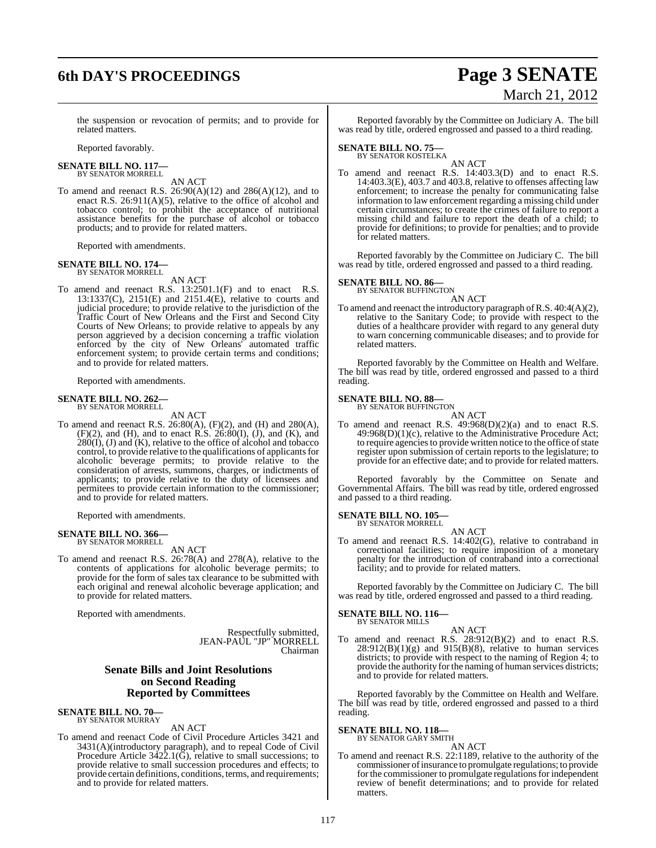# **6th DAY'S PROCEEDINGS Page 3 SENATE**

# March 21, 2012

the suspension or revocation of permits; and to provide for related matters.

Reported favorably.

#### **SENATE BILL NO. 117—** BY SENATOR MORRELL

AN ACT

To amend and reenact R.S.  $26:90(A)(12)$  and  $286(A)(12)$ , and to enact R.S.  $26:911(A)(5)$ , relative to the office of alcohol and tobacco control; to prohibit the acceptance of nutritional assistance benefits for the purchase of alcohol or tobacco products; and to provide for related matters.

Reported with amendments.

## **SENATE BILL NO. 174—** BY SENATOR MORRELL

AN ACT

To amend and reenact R.S. 13:2501.1(F) and to enact R.S. 13:1337(C), 2151(E) and 2151.4(E), relative to courts and judicial procedure; to provide relative to the jurisdiction of the Traffic Court of New Orleans and the First and Second City Courts of New Orleans; to provide relative to appeals by any person aggrieved by a decision concerning a traffic violation enforced by the city of New Orleans' automated traffic enforcement system; to provide certain terms and conditions; and to provide for related matters.

Reported with amendments.

## **SENATE BILL NO. 262—** BY SENATOR MORRELL

AN ACT

To amend and reenact R.S. 26:80(A), (F)(2), and (H) and 280(A),  $(F)(2)$ , and  $(H)$ , and to enact R.S. 26:80 $(I)$ ,  $(J)$ , and  $(K)$ , and  $280(I)$ , (J) and  $(K)$ , relative to the office of alcohol and tobacco control, to provide relative to the qualifications of applicants for alcoholic beverage permits; to provide relative to the consideration of arrests, summons, charges, or indictments of applicants; to provide relative to the duty of licensees and permitees to provide certain information to the commissioner; and to provide for related matters.

Reported with amendments.

#### **SENATE BILL NO. 366—** BY SENATOR MORRELL

AN ACT

To amend and reenact R.S. 26:78(A) and 278(A), relative to the contents of applications for alcoholic beverage permits; to provide for the form of sales tax clearance to be submitted with each original and renewal alcoholic beverage application; and to provide for related matters.

Reported with amendments.

Respectfully submitted, JEAN-PAUL "JP" MORRELL Chairman

### **Senate Bills and Joint Resolutions on Second Reading Reported by Committees**

#### **SENATE BILL NO. 70—** BY SENATOR MURRAY

AN ACT

To amend and reenact Code of Civil Procedure Articles 3421 and 3431(A)(introductory paragraph), and to repeal Code of Civil Procedure Article  $3422.1(\bar{G})$ , relative to small successions; to provide relative to small succession procedures and effects; to provide certain definitions, conditions, terms, and requirements; and to provide for related matters.

Reported favorably by the Committee on Judiciary A. The bill was read by title, ordered engrossed and passed to a third reading.

## **SENATE BILL NO. 75—** BY SENATOR KOSTELKA

AN ACT To amend and reenact R.S. 14:403.3(D) and to enact R.S. 14:403.3(E), 403.7 and 403.8, relative to offenses affecting law enforcement; to increase the penalty for communicating false information to law enforcement regarding a missing child under certain circumstances; to create the crimes of failure to report a missing child and failure to report the death of a child; to provide for definitions; to provide for penalties; and to provide for related matters.

Reported favorably by the Committee on Judiciary C. The bill was read by title, ordered engrossed and passed to a third reading.

#### **SENATE BILL NO. 86—**

BY SENATOR BUFFINGTON

AN ACT To amend and reenact the introductory paragraph ofR.S. 40:4(A)(2), relative to the Sanitary Code; to provide with respect to the duties of a healthcare provider with regard to any general duty to warn concerning communicable diseases; and to provide for related matters.

Reported favorably by the Committee on Health and Welfare. The bill was read by title, ordered engrossed and passed to a third reading.

## **SENATE BILL NO. 88—** BY SENATOR BUFFINGTON

AN ACT

To amend and reenact R.S.  $49:968(D)(2)(a)$  and to enact R.S.  $49:968(D)(1)(c)$ , relative to the Administrative Procedure Act; to require agencies to provide written notice to the office of state register upon submission of certain reports to the legislature; to provide for an effective date; and to provide for related matters.

Reported favorably by the Committee on Senate and Governmental Affairs. The bill was read by title, ordered engrossed and passed to a third reading.

**SENATE BILL NO. 105—** BY SENATOR MORRELL

AN ACT

To amend and reenact R.S. 14:402(G), relative to contraband in correctional facilities; to require imposition of a monetary penalty for the introduction of contraband into a correctional facility; and to provide for related matters.

Reported favorably by the Committee on Judiciary C. The bill was read by title, ordered engrossed and passed to a third reading.

## **SENATE BILL NO. 116—** BY SENATOR MILLS

AN ACT

To amend and reenact R.S. 28:912(B)(2) and to enact R.S.  $28:912(B)(1)(g)$  and  $915(B)(8)$ , relative to human services districts; to provide with respect to the naming of Region 4; to provide the authority for the naming of human services districts; and to provide for related matters.

Reported favorably by the Committee on Health and Welfare. The bill was read by title, ordered engrossed and passed to a third reading.

## **SENATE BILL NO. 118—** BY SENATOR GARY SMITH

AN ACT

To amend and reenact R.S. 22:1189, relative to the authority of the commissioner of insurance to promulgate regulations; to provide for the commissioner to promulgate regulations for independent review of benefit determinations; and to provide for related matters.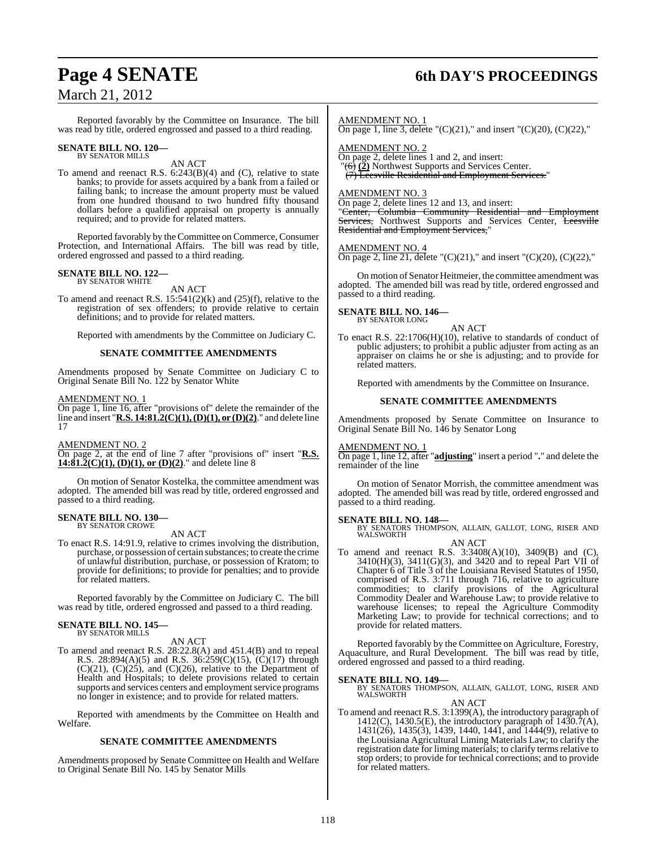## **Page 4 SENATE 6th DAY'S PROCEEDINGS**

Reported favorably by the Committee on Insurance. The bill was read by title, ordered engrossed and passed to a third reading.

## **SENATE BILL NO. 120—** BY SENATOR MILLS

AN ACT

To amend and reenact R.S.  $6:243(B)(4)$  and (C), relative to state banks; to provide for assets acquired by a bank from a failed or failing bank; to increase the amount property must be valued from one hundred thousand to two hundred fifty thousand dollars before a qualified appraisal on property is annually required; and to provide for related matters.

Reported favorably by the Committee on Commerce, Consumer Protection, and International Affairs. The bill was read by title, ordered engrossed and passed to a third reading.

## **SENATE BILL NO. 122—** BY SENATOR WHITE

AN ACT

To amend and reenact R.S. 15:541(2)(k) and (25)(f), relative to the registration of sex offenders; to provide relative to certain definitions; and to provide for related matters.

Reported with amendments by the Committee on Judiciary C.

#### **SENATE COMMITTEE AMENDMENTS**

Amendments proposed by Senate Committee on Judiciary C to Original Senate Bill No. 122 by Senator White

#### AMENDMENT NO. 1

On page 1, line 16, after "provisions of" delete the remainder of the line and insert "**R.S. 14:81.2(C)(1),(D)(1), or (D)(2)**." and delete line 17

AMENDMENT NO. 2

On page 2, at the end of line 7 after "provisions of" insert "**R.S. 14:81.2(C)(1), (D)(1), or (D)(2)**." and delete line 8

On motion of Senator Kostelka, the committee amendment was adopted. The amended bill was read by title, ordered engrossed and passed to a third reading.

#### **SENATE BILL NO. 130—** BY SENATOR CROWE

#### AN ACT

To enact R.S. 14:91.9, relative to crimes involving the distribution, purchase, or possession of certain substances; to create the crime of unlawful distribution, purchase, or possession of Kratom; to provide for definitions; to provide for penalties; and to provide for related matters.

Reported favorably by the Committee on Judiciary C. The bill was read by title, ordered engrossed and passed to a third reading.

## **SENATE BILL NO. 145—** BY SENATOR MILLS

#### AN ACT

To amend and reenact R.S. 28:22.8(A) and 451.4(B) and to repeal R.S. 28:894(A)(5) and R.S. 36:259(C)(15), (C)(17) through  $(C)(21)$ ,  $(C)(25)$ , and  $(C)(26)$ , relative to the Department of Health and Hospitals; to delete provisions related to certain supports and services centers and employment service programs no longer in existence; and to provide for related matters.

Reported with amendments by the Committee on Health and Welfare.

#### **SENATE COMMITTEE AMENDMENTS**

Amendments proposed by Senate Committee on Health and Welfare to Original Senate Bill No. 145 by Senator Mills

AMENDMENT NO. 1

On page 1, line 3, delete " $(C)(21)$ ," and insert " $(C)(20)$ ,  $(C)(22)$ ,"

AMENDMENT NO. 2

On page 2, delete lines 1 and 2, and insert:  $\overline{(\overrightarrow{6})}$  (2) Northwest Supports and Services Center. (7) Leesville Residential and Employment Services."

AMENDMENT NO. 3

On page 2, delete lines 12 and 13, and insert:

"Center, Columbia Community Residential and Employment Services, Northwest Supports and Services Center, Leesville Residential and Employment Services,

#### AMENDMENT NO. 4

On page 2, line 21, delete " $(C)(21)$ ," and insert " $(C)(20)$ ,  $(C)(22)$ ,"

On motion of Senator Heitmeier, the committee amendment was adopted. The amended bill was read by title, ordered engrossed and passed to a third reading.

#### **SENATE BILL NO. 146—** BY SENATOR LONG

AN ACT

To enact R.S. 22:1706(H)(10), relative to standards of conduct of public adjusters; to prohibit a public adjuster from acting as an appraiser on claims he or she is adjusting; and to provide for related matters.

Reported with amendments by the Committee on Insurance.

#### **SENATE COMMITTEE AMENDMENTS**

Amendments proposed by Senate Committee on Insurance to Original Senate Bill No. 146 by Senator Long

#### AMENDMENT NO. 1

On page 1, line 12, after "**adjusting**" insert a period "**.**" and delete the remainder of the line

On motion of Senator Morrish, the committee amendment was adopted. The amended bill was read by title, ordered engrossed and passed to a third reading.

#### **SENATE BILL NO. 148—**

BY SENATORS THOMPSON, ALLAIN, GALLOT, LONG, RISER AND WALSWORTH

#### AN ACT

To amend and reenact R.S. 3:3408(A)(10), 3409(B) and (C), 3410(H)(3), 3411(G)(3), and 3420 and to repeal Part VII of Chapter 6 of Title 3 of the Louisiana Revised Statutes of 1950, comprised of R.S. 3:711 through 716, relative to agriculture commodities; to clarify provisions of the Agricultural Commodity Dealer and Warehouse Law; to provide relative to warehouse licenses; to repeal the Agriculture Commodity Marketing Law; to provide for technical corrections; and to provide for related matters.

Reported favorably by the Committee on Agriculture, Forestry, Aquaculture, and Rural Development. The bill was read by title, ordered engrossed and passed to a third reading.

**SENATE BILL NO. 149—**<br>BY SENATORS THOMPSON, ALLAIN, GALLOT, LONG, RISER AND WALSWORTH AN ACT

To amend and reenact R.S. 3:1399(A), the introductory paragraph of 1412(C), 1430.5(E), the introductory paragraph of  $1430.7(A)$ , 1431(26), 1435(3), 1439, 1440, 1441, and 1444(9), relative to the Louisiana Agricultural Liming Materials Law; to clarify the registration date for liming materials; to clarify terms relative to stop orders; to provide for technical corrections; and to provide for related matters.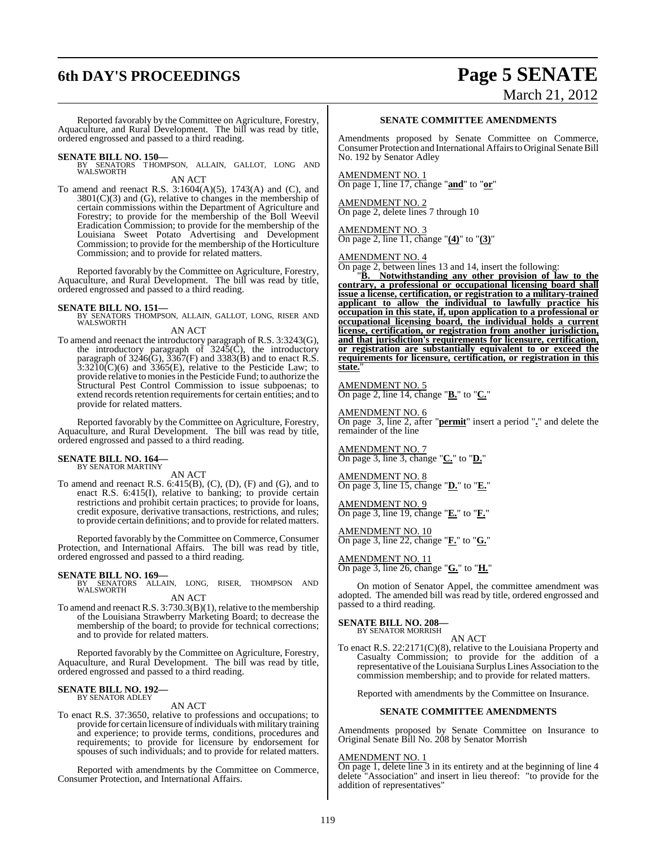# **6th DAY'S PROCEEDINGS Page 5 SENATE**

# March 21, 2012

Reported favorably by the Committee on Agriculture, Forestry, Aquaculture, and Rural Development. The bill was read by title, ordered engrossed and passed to a third reading.

**SENATE BILL NO. 150—** BY SENATORS THOMPSON, ALLAIN, GALLOT, LONG AND WALSWORTH

AN ACT

To amend and reenact R.S. 3:1604(A)(5), 1743(A) and (C), and 3801(C)(3) and (G), relative to changes in the membership of certain commissions within the Department of Agriculture and Forestry; to provide for the membership of the Boll Weevil Eradication Commission; to provide for the membership of the Louisiana Sweet Potato Advertising and Development Commission; to provide for the membership of the Horticulture Commission; and to provide for related matters.

Reported favorably by the Committee on Agriculture, Forestry, Aquaculture, and Rural Development. The bill was read by title, ordered engrossed and passed to a third reading.

**SENATE BILL NO. 151—** BY SENATORS THOMPSON, ALLAIN, GALLOT, LONG, RISER AND WALSWORTH

#### AN ACT

To amend and reenact the introductory paragraph of R.S. 3:3243(G), the introductory paragraph of  $3245(\hat{C})$ , the introductory paragraph of 3246(G),  $\overline{3}367$ (F) and 3383(B) and to enact R.S.  $3:3210(\text{C})(6)$  and  $3365(\text{E})$ , relative to the Pesticide Law; to provide relative to moniesin the Pesticide Fund; to authorize the Structural Pest Control Commission to issue subpoenas; to extend records retention requirements for certain entities; and to provide for related matters.

Reported favorably by the Committee on Agriculture, Forestry, Aquaculture, and Rural Development. The bill was read by title, ordered engrossed and passed to a third reading.

# **SENATE BILL NO. 164—** BY SENATOR MARTINY

AN ACT

To amend and reenact R.S. 6:415(B), (C), (D), (F) and (G), and to enact R.S. 6:415(I), relative to banking; to provide certain restrictions and prohibit certain practices; to provide for loans, credit exposure, derivative transactions, restrictions, and rules; to provide certain definitions; and to provide for related matters.

Reported favorably by the Committee on Commerce, Consumer Protection, and International Affairs. The bill was read by title, ordered engrossed and passed to a third reading.

**SENATE BILL NO. 169—**<br>BY SENATORS ALLAIN, LONG, RISER, THOMPSON AND<br>WALSWORTH AN ACT

To amend and reenact R.S. 3:730.3(B)(1), relative to the membership of the Louisiana Strawberry Marketing Board; to decrease the membership of the board; to provide for technical corrections; and to provide for related matters.

Reported favorably by the Committee on Agriculture, Forestry, Aquaculture, and Rural Development. The bill was read by title, ordered engrossed and passed to a third reading.

#### **SENATE BILL NO. 192—** BY SENATOR ADLEY

#### AN ACT

To enact R.S. 37:3650, relative to professions and occupations; to provide for certain licensure of individuals with military training and experience; to provide terms, conditions, procedures and requirements; to provide for licensure by endorsement for spouses of such individuals; and to provide for related matters.

Reported with amendments by the Committee on Commerce, Consumer Protection, and International Affairs.

#### **SENATE COMMITTEE AMENDMENTS**

Amendments proposed by Senate Committee on Commerce, Consumer Protection and International Affairs to Original Senate Bill No. 192 by Senator Adley

AMENDMENT NO. 1

On page 1, line 17, change "**and**" to "**or**"

#### AMENDMENT NO. 2 On page 2, delete lines 7 through 10

AMENDMENT NO. 3 On page 2, line 11, change "**(4)**" to "**(3)**"

#### AMENDMENT NO. 4

On page 2, between lines 13 and 14, insert the following:

"**B. Notwithstanding any other provision of law to the contrary, a professional or occupational licensing board shall issue a license, certification, or registration to a military-trained applicant to allow the individual to lawfully practice his occupation in this state, if, upon application to a professional or occupational licensing board, the individual holds a current license, certification, or registration from another jurisdiction, and that jurisdiction's requirements for licensure, certification, or registration are substantially equivalent to or exceed the requirements for licensure, certification, or registration in this state.**"

AMEND<u>MENT NO. 5</u> On page 2, line 14, change "**B.**" to "**C.**"

#### AMENDMENT NO. 6

On page 3, line 2, after "**permit**" insert a period "**.**" and delete the remainder of the line

AMENDMENT NO. 7 On page 3, line 3, change "**C.**" to "**D.**"

AMENDMENT NO. 8 On page 3, line 15, change "**D.**" to "**E.**"

AMENDMENT NO. 9 On page 3, line 19, change "**E.**" to "**F.**"

AMENDMENT NO. 10 On page 3, line 22, change "**F.**" to "**G.**"

#### AMENDMENT NO. 11 On page 3, line 26, change "**G.**" to "**H.**"

On motion of Senator Appel, the committee amendment was adopted. The amended bill was read by title, ordered engrossed and passed to a third reading.

**SENATE BILL NO. 208—** BY SENATOR MORRISH

AN ACT

To enact R.S. 22:2171(C)(8), relative to the Louisiana Property and Casualty Commission; to provide for the addition of a representative of the Louisiana Surplus Lines Association to the commission membership; and to provide for related matters.

Reported with amendments by the Committee on Insurance.

#### **SENATE COMMITTEE AMENDMENTS**

Amendments proposed by Senate Committee on Insurance to Original Senate Bill No. 208 by Senator Morrish

#### AMENDMENT NO. 1

On page 1, delete line 3 in its entirety and at the beginning of line 4 delete "Association" and insert in lieu thereof: "to provide for the addition of representatives"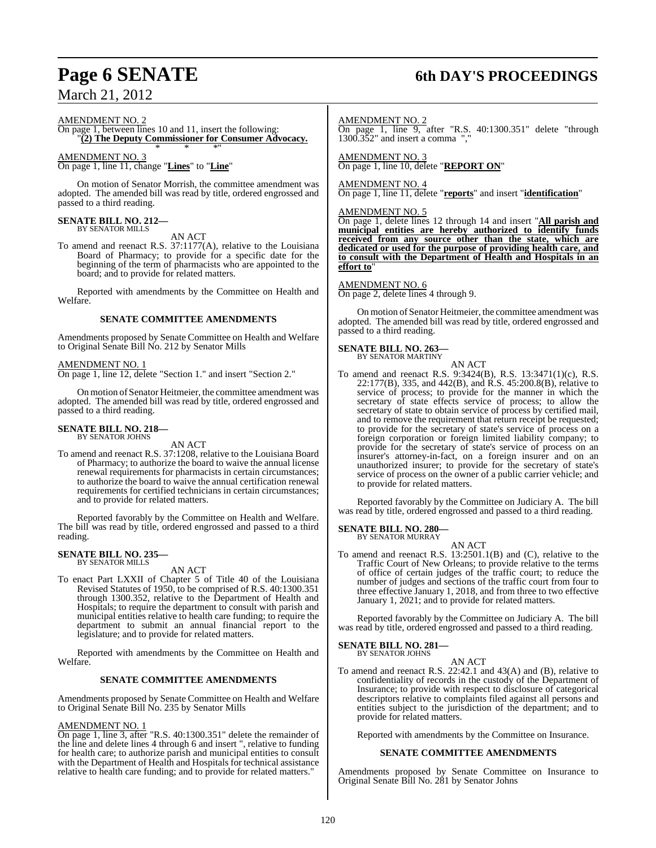#### AMENDMENT NO. 2

On page 1, between lines 10 and 11, insert the following: "**(2) The Deputy Commissioner for Consumer Advocacy.**

### \* \* \*" AMENDMENT NO. 3

On page 1, line 11, change "**Lines**" to "**Line**"

On motion of Senator Morrish, the committee amendment was adopted. The amended bill was read by title, ordered engrossed and passed to a third reading.

## **SENATE BILL NO. 212—** BY SENATOR MILLS

AN ACT

To amend and reenact R.S. 37:1177(A), relative to the Louisiana Board of Pharmacy; to provide for a specific date for the beginning of the term of pharmacists who are appointed to the board; and to provide for related matters.

Reported with amendments by the Committee on Health and Welfare.

#### **SENATE COMMITTEE AMENDMENTS**

Amendments proposed by Senate Committee on Health and Welfare to Original Senate Bill No. 212 by Senator Mills

#### AMENDMENT NO. 1

On page 1, line 12, delete "Section 1." and insert "Section 2."

On motion of Senator Heitmeier, the committee amendment was adopted. The amended bill was read by title, ordered engrossed and passed to a third reading.

#### **SENATE BILL NO. 218—** BY SENATOR JOHNS

AN ACT

To amend and reenact R.S. 37:1208, relative to the Louisiana Board of Pharmacy; to authorize the board to waive the annual license renewal requirements for pharmacists in certain circumstances; to authorize the board to waive the annual certification renewal requirements for certified technicians in certain circumstances; and to provide for related matters.

Reported favorably by the Committee on Health and Welfare. The bill was read by title, ordered engrossed and passed to a third reading.

## **SENATE BILL NO. 235—** BY SENATOR MILLS

AN ACT

To enact Part LXXII of Chapter 5 of Title 40 of the Louisiana Revised Statutes of 1950, to be comprised of R.S. 40:1300.351 through 1300.352, relative to the Department of Health and Hospitals; to require the department to consult with parish and municipal entities relative to health care funding; to require the department to submit an annual financial report to the legislature; and to provide for related matters.

Reported with amendments by the Committee on Health and Welfare.

#### **SENATE COMMITTEE AMENDMENTS**

Amendments proposed by Senate Committee on Health and Welfare to Original Senate Bill No. 235 by Senator Mills

#### AMENDMENT NO. 1

On page 1, line 3, after "R.S. 40:1300.351" delete the remainder of the line and delete lines 4 through 6 and insert ", relative to funding for health care; to authorize parish and municipal entities to consult with the Department of Health and Hospitals for technical assistance relative to health care funding; and to provide for related matters."

## **Page 6 SENATE 6th DAY'S PROCEEDINGS**

AMENDMENT NO. 2

On page 1, line 9, after "R.S. 40:1300.351" delete "through 1300.352" and insert a comma ","

AMENDMENT NO. 3 On page 1, line 10, delete "**REPORT ON**"

#### AMENDMENT NO. 4

On page 1, line 11, delete "**reports**" and insert "**identification**"

#### AMENDMENT NO. 5

On page 1, delete lines 12 through 14 and insert "**All parish and municipal entities are hereby authorized to identify funds received from any source other than the state, which are dedicated or used for the purpose of providing health care, and to consult with the Department of Health and Hospitals in an effort to**"

#### AMENDMENT NO. 6

On page 2, delete lines 4 through 9.

On motion of Senator Heitmeier, the committee amendment was adopted. The amended bill was read by title, ordered engrossed and passed to a third reading.

## **SENATE BILL NO. 263—** BY SENATOR MARTINY

AN ACT

To amend and reenact R.S. 9:3424(B), R.S. 13:3471(1)(c), R.S. 22:177(B), 335, and 442(B), and R.S. 45:200.8(B), relative to service of process; to provide for the manner in which the secretary of state effects service of process; to allow the secretary of state to obtain service of process by certified mail, and to remove the requirement that return receipt be requested; to provide for the secretary of state's service of process on a foreign corporation or foreign limited liability company; to provide for the secretary of state's service of process on an insurer's attorney-in-fact, on a foreign insurer and on an unauthorized insurer; to provide for the secretary of state's service of process on the owner of a public carrier vehicle; and to provide for related matters.

Reported favorably by the Committee on Judiciary A. The bill was read by title, ordered engrossed and passed to a third reading.

#### **SENATE BILL NO. 280—**

BY SENATOR MURRAY AN ACT

To amend and reenact R.S. 13:2501.1(B) and (C), relative to the Traffic Court of New Orleans; to provide relative to the terms of office of certain judges of the traffic court; to reduce the number of judges and sections of the traffic court from four to three effective January 1, 2018, and from three to two effective January 1, 2021; and to provide for related matters.

Reported favorably by the Committee on Judiciary A. The bill was read by title, ordered engrossed and passed to a third reading.

#### **SENATE BILL NO. 281—** BY SENATOR JOHNS

AN ACT To amend and reenact R.S. 22:42.1 and 43(A) and (B), relative to confidentiality of records in the custody of the Department of Insurance; to provide with respect to disclosure of categorical descriptors relative to complaints filed against all persons and entities subject to the jurisdiction of the department; and to provide for related matters.

Reported with amendments by the Committee on Insurance.

#### **SENATE COMMITTEE AMENDMENTS**

Amendments proposed by Senate Committee on Insurance to Original Senate Bill No. 281 by Senator Johns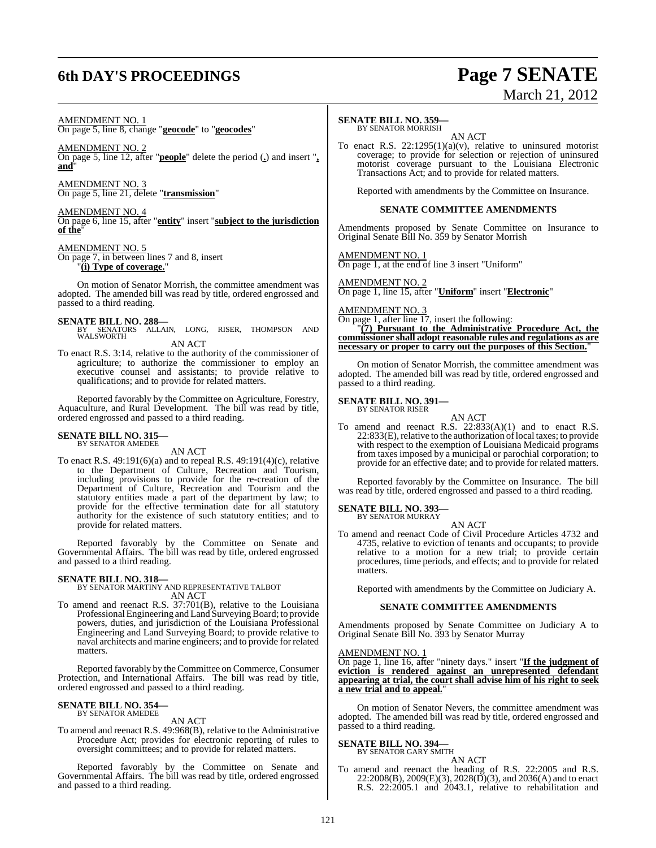## **6th DAY'S PROCEEDINGS Page 7 SENATE**

# March 21, 2012

#### AMENDMENT NO. 1

On page 5, line 8, change "**geocode**" to "**geocodes**"

AMENDMENT NO. 2

On page 5, line 12, after "**people**" delete the period (**.**) and insert "**, and**"

AMENDMENT NO. 3 On page 5, line 21, delete "**transmission**"

AMENDMENT NO. 4

On page 6, line 15, after "**entity**" insert "**subject to the jurisdiction of the**"

#### AMENDMENT NO. 5

On page 7, in between lines 7 and 8, insert "**(i) Type of coverage.**"

On motion of Senator Morrish, the committee amendment was adopted. The amended bill was read by title, ordered engrossed and passed to a third reading.

#### **SENATE BILL NO. 288—**

BY SENATORS ALLAIN, LONG, RISER, THOMPSON AND WALSWORTH AN ACT

To enact R.S. 3:14, relative to the authority of the commissioner of agriculture; to authorize the commissioner to employ an executive counsel and assistants; to provide relative to qualifications; and to provide for related matters.

Reported favorably by the Committee on Agriculture, Forestry, Aquaculture, and Rural Development. The bill was read by title, ordered engrossed and passed to a third reading.

# **SENATE BILL NO. 315—** BY SENATOR AMEDEE

AN ACT

To enact R.S. 49:191(6)(a) and to repeal R.S. 49:191(4)(c), relative to the Department of Culture, Recreation and Tourism, including provisions to provide for the re-creation of the Department of Culture, Recreation and Tourism and the statutory entities made a part of the department by law; to provide for the effective termination date for all statutory authority for the existence of such statutory entities; and to provide for related matters.

Reported favorably by the Committee on Senate and Governmental Affairs. The bill was read by title, ordered engrossed and passed to a third reading.

#### **SENATE BILL NO. 318—**

BY SENATOR MARTINY AND REPRESENTATIVE TALBOT AN ACT

To amend and reenact R.S. 37:701(B), relative to the Louisiana Professional Engineering and Land Surveying Board; to provide powers, duties, and jurisdiction of the Louisiana Professional Engineering and Land Surveying Board; to provide relative to naval architects and marine engineers; and to provide for related matters.

Reported favorably by the Committee on Commerce, Consumer Protection, and International Affairs. The bill was read by title, ordered engrossed and passed to a third reading.

#### **SENATE BILL NO. 354—** BY SENATOR AMEDEE

### AN ACT

To amend and reenact R.S. 49:968(B), relative to the Administrative Procedure Act; provides for electronic reporting of rules to oversight committees; and to provide for related matters.

Reported favorably by the Committee on Senate and Governmental Affairs. The bill was read by title, ordered engrossed and passed to a third reading.

### **SENATE BILL NO. 359—**

BY SENATOR MORRISH AN ACT

To enact R.S. 22:1295(1)(a)(v), relative to uninsured motorist coverage; to provide for selection or rejection of uninsured motorist coverage pursuant to the Louisiana Electronic Transactions Act; and to provide for related matters.

Reported with amendments by the Committee on Insurance.

#### **SENATE COMMITTEE AMENDMENTS**

Amendments proposed by Senate Committee on Insurance to Original Senate Bill No. 359 by Senator Morrish

AMENDMENT NO. 1 On page 1, at the end of line 3 insert "Uniform"

AMENDMENT NO. 2 On page 1, line 15, after "**Uniform**" insert "**Electronic**"

AMENDMENT NO. 3

On page 1, after line 17, insert the following: "**(7) Pursuant to the Administrative Procedure Act, the commissioner shall adopt reasonable rules and regulations as are necessary or proper to carry out the purposes of this Section.**"

On motion of Senator Morrish, the committee amendment was adopted. The amended bill was read by title, ordered engrossed and passed to a third reading.

#### **SENATE BILL NO. 391—** BY SENATOR RISER

AN ACT To amend and reenact R.S. 22:833(A)(1) and to enact R.S. 22:833(E), relative to the authorization of local taxes; to provide with respect to the exemption of Louisiana Medicaid programs from taxes imposed by a municipal or parochial corporation; to provide for an effective date; and to provide for related matters.

Reported favorably by the Committee on Insurance. The bill was read by title, ordered engrossed and passed to a third reading.

#### **SENATE BILL NO. 393—** BY SENATOR MURRAY

AN ACT

To amend and reenact Code of Civil Procedure Articles 4732 and 4735, relative to eviction of tenants and occupants; to provide relative to a motion for a new trial; to provide certain procedures, time periods, and effects; and to provide for related matters.

Reported with amendments by the Committee on Judiciary A.

#### **SENATE COMMITTEE AMENDMENTS**

Amendments proposed by Senate Committee on Judiciary A to Original Senate Bill No. 393 by Senator Murray

#### AMENDMENT NO. 1

On page 1, line 16, after "ninety days." insert "**If the judgment of eviction is rendered against an unrepresented defendant appearing at trial, the court shall advise him of his right to seek a new trial and to appeal.**"

On motion of Senator Nevers, the committee amendment was adopted. The amended bill was read by title, ordered engrossed and passed to a third reading.

#### **SENATE BILL NO. 394—** BY SENATOR GARY SMITH

AN ACT

To amend and reenact the heading of R.S. 22:2005 and R.S.  $22:2008(B), 2009(E)(3), 2028(D)(3),$  and  $2036(A)$  and to enact R.S. 22:2005.1 and 2043.1, relative to rehabilitation and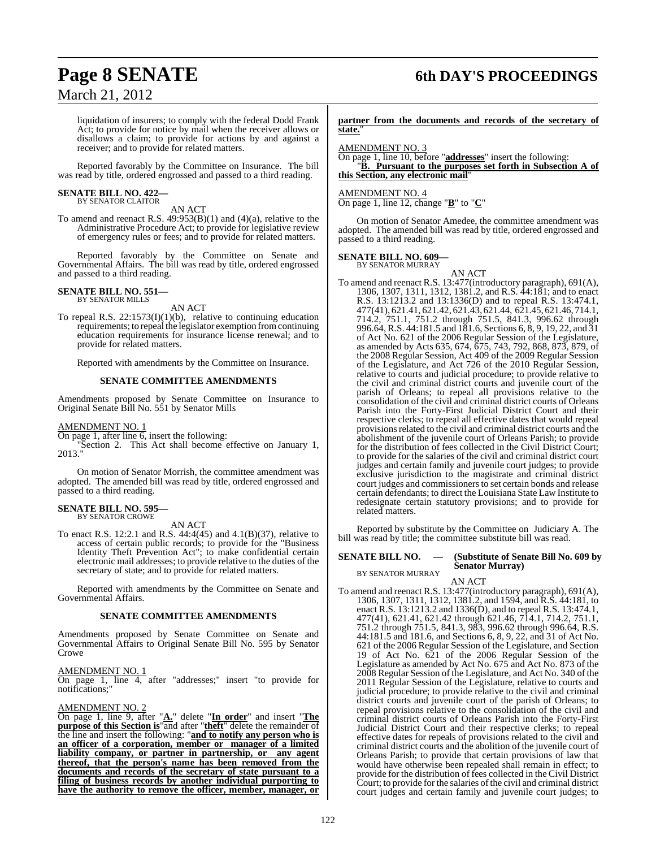## **Page 8 SENATE 6th DAY'S PROCEEDINGS**

liquidation of insurers; to comply with the federal Dodd Frank Act; to provide for notice by mail when the receiver allows or disallows a claim; to provide for actions by and against a receiver; and to provide for related matters.

Reported favorably by the Committee on Insurance. The bill was read by title, ordered engrossed and passed to a third reading.

## **SENATE BILL NO. 422—** BY SENATOR CLAITOR

AN ACT

To amend and reenact R.S. 49:953(B)(1) and (4)(a), relative to the Administrative Procedure Act; to provide for legislative review of emergency rules or fees; and to provide for related matters.

Reported favorably by the Committee on Senate and Governmental Affairs. The bill was read by title, ordered engrossed and passed to a third reading.

#### **SENATE BILL NO. 551—** BY SENATOR MILLS

AN ACT

To repeal R.S.  $22:1573(I)(1)(b)$ , relative to continuing education requirements; to repeal the legislator exemption from continuing education requirements for insurance license renewal; and to provide for related matters.

Reported with amendments by the Committee on Insurance.

#### **SENATE COMMITTEE AMENDMENTS**

Amendments proposed by Senate Committee on Insurance to Original Senate Bill No. 551 by Senator Mills

AMENDMENT NO. 1

On page 1, after line 6, insert the following:

"Section 2. This Act shall become effective on January 1, 2013."

On motion of Senator Morrish, the committee amendment was adopted. The amended bill was read by title, ordered engrossed and passed to a third reading.

#### **SENATE BILL NO. 595—** BY SENATOR CROWE

AN ACT

To enact R.S. 12:2.1 and R.S. 44:4(45) and 4.1(B)(37), relative to access of certain public records; to provide for the "Business Identity Theft Prevention Act"; to make confidential certain electronic mail addresses; to provide relative to the duties of the secretary of state; and to provide for related matters.

Reported with amendments by the Committee on Senate and Governmental Affairs.

#### **SENATE COMMITTEE AMENDMENTS**

Amendments proposed by Senate Committee on Senate and Governmental Affairs to Original Senate Bill No. 595 by Senator Crowe

#### AMENDMENT NO. 1

On page 1, line 4, after "addresses;" insert "to provide for notifications;"

#### AMENDMENT NO. 2

On page 1, line 9, after "**A.**" delete "**In order**" and insert "**The purpose of this Section is**"and after "**theft**" delete the remainder of the line and insert the following: "**and to notify any person who is an officer of a corporation, member or manager of a limited liability company, or partner in partnership, or any agent thereof, that the person's name has been removed from the documents and records of the secretary of state pursuant to a filing of business records by another individual purporting to have the authority to remove the officer, member, manager, or**

**partner from the documents and records of the secretary of state.**"

AMENDMENT NO. 3

On page 1, line 10, before "**addresses**" insert the following: "**B. Pursuant to the purposes set forth in Subsection A of this Section, any electronic mail**"

AMENDMENT NO. 4

On page 1, line 12, change "**B**" to "**C**"

On motion of Senator Amedee, the committee amendment was adopted. The amended bill was read by title, ordered engrossed and passed to a third reading.

#### **SENATE BILL NO. 609—** BY SENATOR MURRAY

AN ACT To amend and reenact R.S. 13:477(introductory paragraph), 691(A), 1306, 1307, 1311, 1312, 1381.2, and R.S. 44:181; and to enact R.S. 13:1213.2 and 13:1336(D) and to repeal R.S. 13:474.1, 477(41), 621.41, 621.42, 621.43, 621.44, 621.45, 621.46, 714.1, 714.2, 751.1, 751.2 through 751.5, 841.3, 996.62 through 996.64, R.S. 44:181.5 and 181.6, Sections 6, 8, 9, 19, 22, and 31 of Act No. 621 of the 2006 Regular Session of the Legislature, as amended by Acts 635, 674, 675, 743, 792, 868, 873, 879, of the 2008 Regular Session, Act 409 of the 2009 Regular Session of the Legislature, and Act 726 of the 2010 Regular Session, relative to courts and judicial procedure; to provide relative to the civil and criminal district courts and juvenile court of the parish of Orleans; to repeal all provisions relative to the consolidation of the civil and criminal district courts of Orleans Parish into the Forty-First Judicial District Court and their respective clerks; to repeal all effective dates that would repeal provisionsrelated to the civil and criminal district courts and the abolishment of the juvenile court of Orleans Parish; to provide for the distribution of fees collected in the Civil District Court; to provide for the salaries of the civil and criminal district court judges and certain family and juvenile court judges; to provide exclusive jurisdiction to the magistrate and criminal district court judges and commissioners to set certain bonds and release certain defendants; to direct the Louisiana State Law Institute to redesignate certain statutory provisions; and to provide for related matters.

Reported by substitute by the Committee on Judiciary A. The bill was read by title; the committee substitute bill was read.

#### **SENATE BILL NO. — (Substitute of Senate Bill No. 609 by Senator Murray)**

BY SENATOR MURRAY

#### AN ACT

To amend and reenact R.S. 13:477(introductory paragraph), 691(A), 1306, 1307, 1311, 1312, 1381.2, and 1594, and R.S. 44:181, to enact R.S. 13:1213.2 and 1336(D), and to repeal R.S. 13:474.1, 477(41), 621.41, 621.42 through 621.46, 714.1, 714.2, 751.1, 751.2 through 751.5, 841.3, 983, 996.62 through 996.64, R.S. 44:181.5 and 181.6, and Sections 6, 8, 9, 22, and 31 of Act No. 621 of the 2006 Regular Session of the Legislature, and Section 19 of Act No. 621 of the 2006 Regular Session of the Legislature as amended by Act No. 675 and Act No. 873 of the 2008 Regular Session of the Legislature, and Act No. 340 of the 2011 Regular Session of the Legislature, relative to courts and judicial procedure; to provide relative to the civil and criminal district courts and juvenile court of the parish of Orleans; to repeal provisions relative to the consolidation of the civil and criminal district courts of Orleans Parish into the Forty-First Judicial District Court and their respective clerks; to repeal effective dates for repeals of provisions related to the civil and criminal district courts and the abolition of the juvenile court of Orleans Parish; to provide that certain provisions of law that would have otherwise been repealed shall remain in effect; to provide for the distribution of fees collected in the Civil District Court; to provide for the salaries of the civil and criminal district court judges and certain family and juvenile court judges; to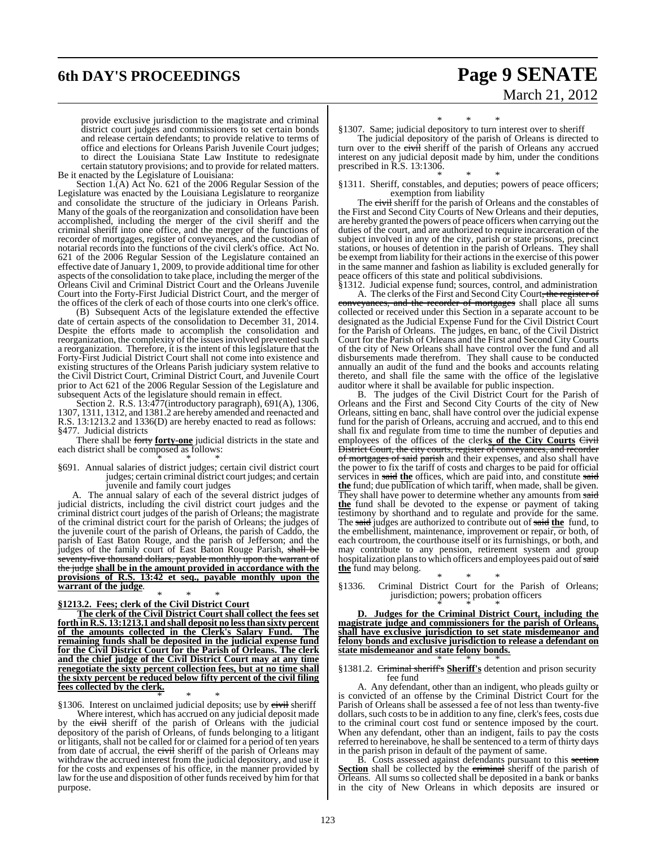## **6th DAY'S PROCEEDINGS Page 9 SENATE**

# March 21, 2012

provide exclusive jurisdiction to the magistrate and criminal district court judges and commissioners to set certain bonds and release certain defendants; to provide relative to terms of office and elections for Orleans Parish Juvenile Court judges; to direct the Louisiana State Law Institute to redesignate certain statutory provisions; and to provide for related matters. Be it enacted by the Legislature of Louisiana:

Section 1.(A) Act No. 621 of the 2006 Regular Session of the Legislature was enacted by the Louisiana Legislature to reorganize and consolidate the structure of the judiciary in Orleans Parish. Many of the goals of the reorganization and consolidation have been accomplished, including the merger of the civil sheriff and the criminal sheriff into one office, and the merger of the functions of recorder of mortgages, register of conveyances, and the custodian of notarial records into the functions of the civil clerk's office. Act No. 621 of the 2006 Regular Session of the Legislature contained an effective date ofJanuary 1, 2009, to provide additional time for other aspects of the consolidation to take place, including the merger of the Orleans Civil and Criminal District Court and the Orleans Juvenile Court into the Forty-First Judicial District Court, and the merger of the offices of the clerk of each of those courts into one clerk's office.

(B) Subsequent Acts of the legislature extended the effective date of certain aspects of the consolidation to December 31, 2014. Despite the efforts made to accomplish the consolidation and reorganization, the complexity of the issues involved prevented such a reorganization. Therefore, it is the intent of this legislature that the Forty-First Judicial District Court shall not come into existence and existing structures of the Orleans Parish judiciary system relative to the Civil District Court, Criminal District Court, and Juvenile Court prior to Act 621 of the 2006 Regular Session of the Legislature and subsequent Acts of the legislature should remain in effect.

Section 2. R.S. 13:477(introductory paragraph), 691(A), 1306, 1307, 1311, 1312, and 1381.2 are hereby amended and reenacted and R.S. 13:1213.2 and 1336(D) are hereby enacted to read as follows: §477. Judicial districts

There shall be forty **forty-one** judicial districts in the state and each district shall be composed as follows:

\* \* \* §691. Annual salaries of district judges; certain civil district court judges; certain criminal district court judges; and certain juvenile and family court judges

A. The annual salary of each of the several district judges of judicial districts, including the civil district court judges and the criminal district court judges of the parish of Orleans; the magistrate of the criminal district court for the parish of Orleans; the judges of the juvenile court of the parish of Orleans, the parish of Caddo, the parish of East Baton Rouge, and the parish of Jefferson; and the judges of the family court of East Baton Rouge Parish, shall be seventy-five thousand dollars, payable monthly upon the warrant of the judge **shall be in the amount provided in accordance with the provisions of R.S. 13:42 et seq., payable monthly upon the warrant of the judge**.

#### \* \* \* **§1213.2. Fees; clerk of the Civil District Court**

**The clerk of the Civil District Court shall collect the fees set forth in R.S. 13:1213.1 and shall deposit no lessthan sixty percent of the amounts collected in the Clerk's Salary Fund. The remaining funds shall be deposited in the judicial expense fund for the Civil District Court for the Parish of Orleans. The clerk and the chief judge of the Civil District Court may at any time renegotiate the sixty percent collection fees, but at no time shall the sixty percent be reduced below fifty percent of the civil filing fees collected by the clerk.**

\* \* \* §1306. Interest on unclaimed judicial deposits; use by civil sheriff

Where interest, which has accrued on any judicial deposit made by the civil sheriff of the parish of Orleans with the judicial depository of the parish of Orleans, of funds belonging to a litigant or litigants, shall not be called for or claimed for a period of ten years from date of accrual, the civil sheriff of the parish of Orleans may withdraw the accrued interest from the judicial depository, and use it for the costs and expenses of his office, in the manner provided by law for the use and disposition of other funds received by him for that purpose.

\* \* \*

§1307. Same; judicial depository to turn interest over to sheriff

The judicial depository of the parish of Orleans is directed to turn over to the civil sheriff of the parish of Orleans any accrued interest on any judicial deposit made by him, under the conditions prescribed in R.S. 13:1306.

\* \* \* §1311. Sheriff, constables, and deputies; powers of peace officers; exemption from liability

The civil sheriff for the parish of Orleans and the constables of the First and Second City Courts of New Orleans and their deputies, are hereby granted the powers of peace officers when carrying out the duties of the court, and are authorized to require incarceration of the subject involved in any of the city, parish or state prisons, precinct stations, or houses of detention in the parish of Orleans. They shall be exempt from liability for their actions in the exercise of this power in the same manner and fashion as liability is excluded generally for eace officers of this state and political subdivisions.

§1312. Judicial expense fund; sources, control, and administration A. The clerks of the First and Second City Court, the register of nces, and the recorder of mortgages shall place all sums collected or received under this Section in a separate account to be designated as the Judicial Expense Fund for the Civil District Court for the Parish of Orleans. The judges, en banc, of the Civil District Court for the Parish of Orleans and the First and Second City Courts of the city of New Orleans shall have control over the fund and all disbursements made therefrom. They shall cause to be conducted annually an audit of the fund and the books and accounts relating thereto, and shall file the same with the office of the legislative auditor where it shall be available for public inspection.

B. The judges of the Civil District Court for the Parish of Orleans and the First and Second City Courts of the city of New Orleans, sitting en banc, shall have control over the judicial expense fund for the parish of Orleans, accruing and accrued, and to this end shall fix and regulate from time to time the number of deputies and employees of the offices of the clerks of the City Courts Civil District Court, the city courts, register of conveyances, and recorder of mortgages of said parish and their expenses, and also shall have the power to fix the tariff of costs and charges to be paid for official services in said the offices, which are paid into, and constitute said **the** fund; due publication of which tariff, when made, shall be given. They shall have power to determine whether any amounts from said **the** fund shall be devoted to the expense or payment of taking testimony by shorthand and to regulate and provide for the same. The said judges are authorized to contribute out of said **the** fund, to the embellishment, maintenance, improvement or repair, or both, of each courtroom, the courthouse itself or its furnishings, or both, and may contribute to any pension, retirement system and group hospitalization plans to which officers and employees paid out of said **the** fund may belong.

\* \* \* §1336. Criminal District Court for the Parish of Orleans; jurisdiction; powers; probation officers \* \* \*

**D. Judges for the Criminal District Court, including the magistrate judge and commissioners for the parish of Orleans, shall have exclusive jurisdiction to set state misdemeanor and felony bonds and exclusive jurisdiction to release a defendant on state misdemeanor and state felony bonds.**

#### \* \* \* §1381.2. Criminal sheriff's **Sheriff's** detention and prison security fee fund

A. Any defendant, other than an indigent, who pleads guilty or is convicted of an offense by the Criminal District Court for the Parish of Orleans shall be assessed a fee of not less than twenty-five dollars, such costs to be in addition to any fine, clerk's fees, costs due to the criminal court cost fund or sentence imposed by the court. When any defendant, other than an indigent, fails to pay the costs referred to hereinabove, he shall be sentenced to a term of thirty days in the parish prison in default of the payment of same.

B. Costs assessed against defendants pursuant to this section **Section** shall be collected by the **criminal** sheriff of the parish of Orleans. All sums so collected shall be deposited in a bank or banks in the city of New Orleans in which deposits are insured or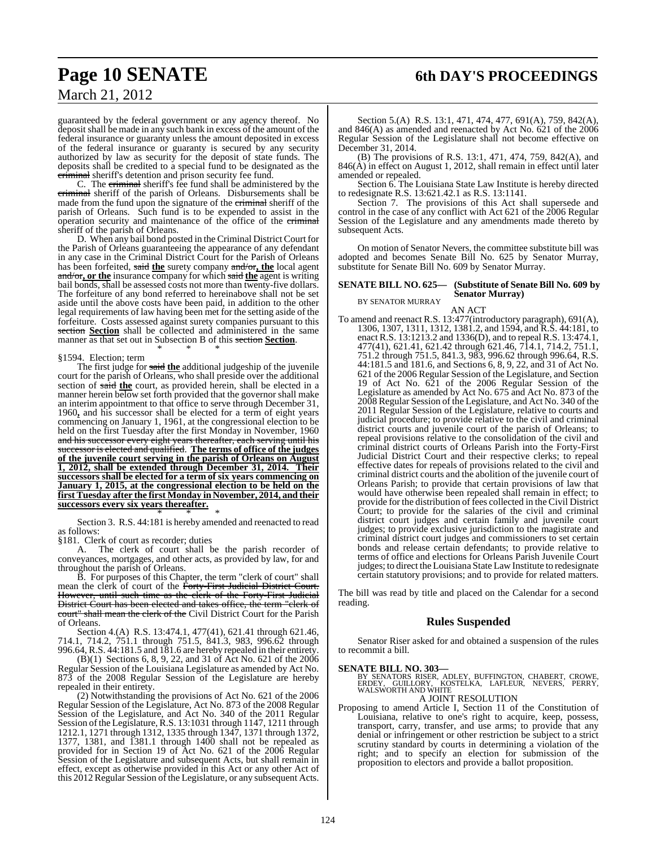## **Page 10 SENATE 6th DAY'S PROCEEDINGS**

## March 21, 2012

guaranteed by the federal government or any agency thereof. No deposit shall be made in any such bank in excess of the amount of the federal insurance or guaranty unless the amount deposited in excess of the federal insurance or guaranty is secured by any security authorized by law as security for the deposit of state funds. The deposits shall be credited to a special fund to be designated as the criminal sheriff's detention and prison security fee fund.

C. The criminal sheriff's fee fund shall be administered by the criminal sheriff of the parish of Orleans. Disbursements shall be made from the fund upon the signature of the criminal sheriff of the parish of Orleans. Such fund is to be expended to assist in the operation security and maintenance of the office of the criminal sheriff of the parish of Orleans.

D. When any bail bond posted in the Criminal District Court for the Parish of Orleans guaranteeing the appearance of any defendant in any case in the Criminal District Court for the Parish of Orleans has been forfeited, said **the** surety company and/or**, the** local agent and/or**, or the** insurance company for which said **the** agent is writing bail bonds, shall be assessed costs not more than twenty-five dollars. The forfeiture of any bond referred to hereinabove shall not be set aside until the above costs have been paid, in addition to the other legal requirements of law having been met for the setting aside of the forfeiture. Costs assessed against surety companies pursuant to this section **Section** shall be collected and administered in the same manner as that set out in Subsection B of this section **Section**. \* \* \*

#### §1594. Election; term

The first judge for said **the** additional judgeship of the juvenile court for the parish of Orleans, who shall preside over the additional section of said the court, as provided herein, shall be elected in a manner herein below set forth provided that the governor shall make an interim appointment to that office to serve through December 31, 1960**,** and his successor shall be elected for a term of eight years commencing on January 1, 1961, at the congressional election to be held on the first Tuesday after the first Monday in November, 1960 and his successor every eight years thereafter, each serving until his successor is elected and qualified. **The terms of office of the judges of the juvenile court serving in the parish of Orleans on August 1, 2012, shall be extended through December 31, 2014. Their successors shall be elected for a term of six years commencing on January 1, 2015, at the congressional election to be held on the first Tuesday after the first Monday in November, 2014, and their successors every six years thereafter.**

\* \* \* Section 3. R.S. 44:181 is hereby amended and reenacted to read as follows:

§181. Clerk of court as recorder; duties<br>A. The clerk of court shall b The clerk of court shall be the parish recorder of conveyances, mortgages, and other acts, as provided by law, for and throughout the parish of Orleans.

B. For purposes of this Chapter, the term "clerk of court" shall mean the clerk of court of the Forty-First Judicial District Court. However, until such time as the clerk of the Forty-First Judicial District Court has been elected and takes office, the term "clerk of court" shall mean the clerk of the Civil District Court for the Parish of Orleans.

Section 4.(A) R.S. 13:474.1, 477(41), 621.41 through 621.46, 714.1, 714.2, 751.1 through 751.5, 841.3, 983, 996.62 through 996.64, R.S. 44:181.5 and 181.6 are hereby repealed in their entirety.

(B)(1) Sections 6, 8, 9, 22, and 31 of Act No. 621 of the 2006 Regular Session of the Louisiana Legislature as amended by Act No. 873 of the 2008 Regular Session of the Legislature are hereby repealed in their entirety.

(2) Notwithstanding the provisions of Act No. 621 of the 2006 Regular Session of the Legislature, Act No. 873 of the 2008 Regular Session of the Legislature, and Act No. 340 of the 2011 Regular Session of the Legislature, R.S. 13:1031 through 1147, 1211 through 1212.1, 1271 through 1312, 1335 through 1347, 1371 through 1372, 1377, 1381, and 1381.1 through 1400 shall not be repealed as provided for in Section 19 of Act No. 621 of the 2006 Regular Session of the Legislature and subsequent Acts, but shall remain in effect, except as otherwise provided in this Act or any other Act of this 2012 Regular Session of the Legislature, or any subsequent Acts.

Section 5.(A) R.S. 13:1, 471, 474, 477, 691(A), 759, 842(A), and 846(A) as amended and reenacted by Act No. 621 of the 2006 Regular Session of the Legislature shall not become effective on December 31, 2014.

(B) The provisions of R.S. 13:1, 471, 474, 759, 842(A), and 846(A) in effect on August 1, 2012, shall remain in effect until later amended or repealed.

Section 6. The Louisiana State Law Institute is hereby directed to redesignate R.S. 13:621.42.1 as R.S. 13:1141.

Section 7. The provisions of this Act shall supersede and control in the case of any conflict with Act 621 of the 2006 Regular Session of the Legislature and any amendments made thereto by subsequent Acts.

On motion of Senator Nevers, the committee substitute bill was adopted and becomes Senate Bill No. 625 by Senator Murray, substitute for Senate Bill No. 609 by Senator Murray.

#### **SENATE BILL NO. 625— (Substitute of Senate Bill No. 609 by Senator Murray)** BY SENATOR MURRAY

AN ACT

To amend and reenact R.S. 13:477(introductory paragraph), 691(A), 1306, 1307, 1311, 1312, 1381.2, and 1594, and R.S. 44:181, to enact R.S. 13:1213.2 and 1336(D), and to repeal R.S. 13:474.1, 477(41), 621.41, 621.42 through 621.46, 714.1, 714.2, 751.1, 751.2 through 751.5, 841.3, 983, 996.62 through 996.64, R.S. 44:181.5 and 181.6, and Sections 6, 8, 9, 22, and 31 of Act No. 621 of the 2006 Regular Session of the Legislature, and Section 19 of Act No. 621 of the 2006 Regular Session of the Legislature as amended by Act No. 675 and Act No. 873 of the 2008 Regular Session of the Legislature, and Act No. 340 of the 2011 Regular Session of the Legislature, relative to courts and judicial procedure; to provide relative to the civil and criminal district courts and juvenile court of the parish of Orleans; to repeal provisions relative to the consolidation of the civil and criminal district courts of Orleans Parish into the Forty-First Judicial District Court and their respective clerks; to repeal effective dates for repeals of provisions related to the civil and criminal district courts and the abolition of the juvenile court of Orleans Parish; to provide that certain provisions of law that would have otherwise been repealed shall remain in effect; to provide for the distribution of fees collected in the Civil District Court; to provide for the salaries of the civil and criminal district court judges and certain family and juvenile court judges; to provide exclusive jurisdiction to the magistrate and criminal district court judges and commissioners to set certain bonds and release certain defendants; to provide relative to terms of office and elections for Orleans Parish Juvenile Court judges; to direct the Louisiana State Law Institute to redesignate certain statutory provisions; and to provide for related matters.

The bill was read by title and placed on the Calendar for a second reading.

#### **Rules Suspended**

Senator Riser asked for and obtained a suspension of the rules to recommit a bill.

# **SENATE BILL NO. 303—**<br>BY SENATORS RISER, ADLEY, BUFFINGTON, CHABERT, CROWE,<br>ERDEY, GUILLORY, KOSTELKA, LAFLEUR, NEVERS, PERRY,<br>WALSWORTH AND WHITE A JOINT RESOLUTION

Proposing to amend Article I, Section 11 of the Constitution of Louisiana, relative to one's right to acquire, keep, possess, transport, carry, transfer, and use arms; to provide that any denial or infringement or other restriction be subject to a strict scrutiny standard by courts in determining a violation of the right; and to specify an election for submission of the proposition to electors and provide a ballot proposition.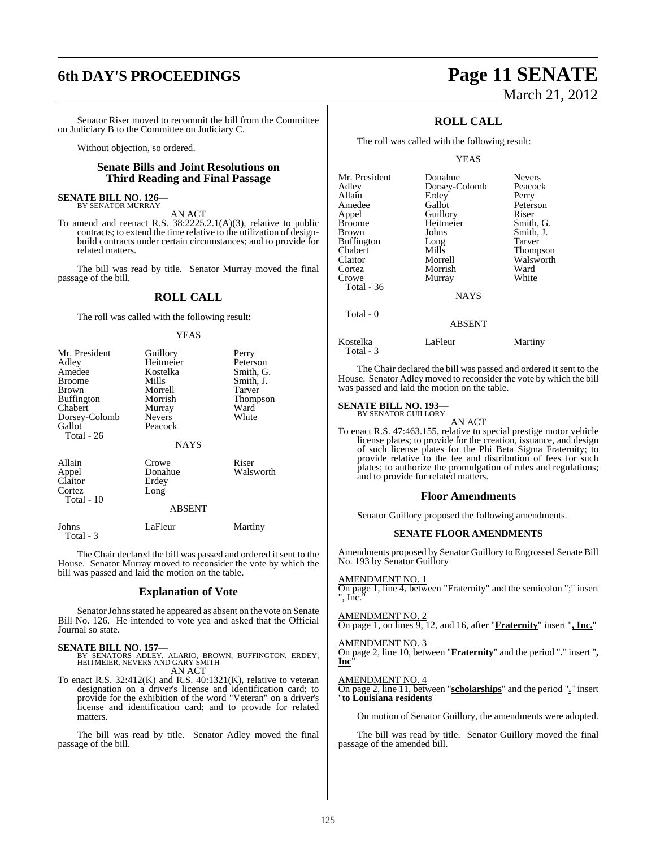Senator Riser moved to recommit the bill from the Committee on Judiciary B to the Committee on Judiciary C.

Without objection, so ordered.

#### **Senate Bills and Joint Resolutions on Third Reading and Final Passage**

#### **SENATE BILL NO. 126—** BY SENATOR MURRAY

AN ACT

To amend and reenact R.S. 38:2225.2.1(A)(3), relative to public contracts; to extend the time relative to the utilization of designbuild contracts under certain circumstances; and to provide for related matters.

The bill was read by title. Senator Murray moved the final passage of the bill.

#### **ROLL CALL**

The roll was called with the following result:

#### YEAS

| Mr. President<br>Adley       | Guillory<br>Heitmeier   | Perry<br>Peterson |
|------------------------------|-------------------------|-------------------|
| Amedee                       | Kostelka                | Smith, G.         |
| <b>Broome</b>                | Mills                   | Smith, J.         |
| Brown                        | Morrell<br>Morrish      | Tarver            |
| <b>Buffington</b><br>Chabert |                         | Thompson<br>Ward  |
| Dorsey-Colomb                | Murray<br><b>Nevers</b> | White             |
| Gallot                       | Peacock                 |                   |
| Total - 26                   |                         |                   |
|                              | <b>NAYS</b>             |                   |
| Allain                       | Crowe                   | Riser             |
| Appel                        | Donahue                 | Walsworth         |
| Claitor                      | Erdey                   |                   |
| Cortez                       | Long                    |                   |
| Total - 10                   |                         |                   |

#### ABSENT

Johns LaFleur Martiny

The Chair declared the bill was passed and ordered it sent to the House. Senator Murray moved to reconsider the vote by which the bill was passed and laid the motion on the table.

#### **Explanation of Vote**

Senator Johns stated he appeared as absent on the vote on Senate Bill No. 126. He intended to vote yea and asked that the Official Journal so state.

Total - 3

**SENATE BILL NO. 157—**<br>BY SENATORS ADLEY, ALARIO, BROWN, BUFFINGTON, ERDEY,<br>HEITMEIER, NEVERS AND GARY SMITH AN ACT

To enact R.S.  $32:412(K)$  and R.S.  $40:1321(K)$ , relative to veteran designation on a driver's license and identification card; to provide for the exhibition of the word "Veteran" on a driver's license and identification card; and to provide for related matters.

The bill was read by title. Senator Adley moved the final passage of the bill.

# **6th DAY'S PROCEEDINGS Page 11 SENATE** March 21, 2012

### **ROLL CALL**

The roll was called with the following result:

YEAS

| Mr. President | Donahue       | <b>Nevers</b>   |
|---------------|---------------|-----------------|
| Adley         | Dorsey-Colomb | Peacock         |
| Allain        | Erdey         | Perry           |
| Amedee        | Gallot        | Peterson        |
| Appel         | Guillory      | Riser           |
| Broome        | Heitmeier     | Smith, G.       |
| Brown         | Johns         | Smith, J.       |
| Buffington    | Long          | Tarver          |
| Chabert       | Mills         | <b>Thompson</b> |
| Claitor       | Morrell       | Walsworth       |
| Cortez        | Morrish       | Ward            |
| Crowe         | Murray        | White           |
| Total - 36    |               |                 |
|               | <b>NAYS</b>   |                 |
| Total - 0     |               |                 |
|               | ABSENT        |                 |

Kostelka LaFleur Martiny Total - 3

The Chair declared the bill was passed and ordered it sent to the House. Senator Adley moved to reconsider the vote by which the bill was passed and laid the motion on the table.

#### **SENATE BILL NO. 193—** BY SENATOR GUILLORY

AN ACT

To enact R.S. 47:463.155, relative to special prestige motor vehicle license plates; to provide for the creation, issuance, and design of such license plates for the Phi Beta Sigma Fraternity; to provide relative to the fee and distribution of fees for such plates; to authorize the promulgation of rules and regulations; and to provide for related matters.

#### **Floor Amendments**

Senator Guillory proposed the following amendments.

#### **SENATE FLOOR AMENDMENTS**

Amendments proposed by Senator Guillory to Engrossed Senate Bill No. 193 by Senator Guillory

AMENDMENT NO. 1

On page 1, line 4, between "Fraternity" and the semicolon ";" insert '. Inc.

#### AMENDMENT NO. 2

On page 1, on lines 9, 12, and 16, after "**Fraternity**" insert "**, Inc.**"

#### AMENDMENT NO. 3

On page 2, line 10, between "**Fraternity**" and the period "**.**" insert "**, Inc**"

#### AMENDMENT NO. 4

On page 2, line 11, between "**scholarships**" and the period "**.**" insert "**to Louisiana residents**"

On motion of Senator Guillory, the amendments were adopted.

The bill was read by title. Senator Guillory moved the final passage of the amended bill.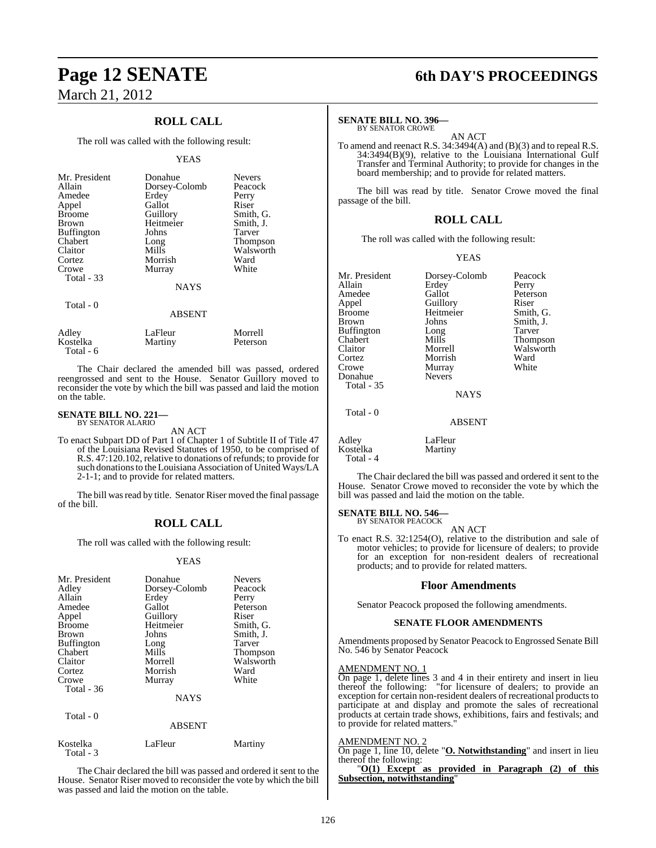## **ROLL CALL**

The roll was called with the following result:

#### YEAS

| Mr. President<br>Allain<br>Amedee<br>Appel<br><b>Broome</b><br><b>Brown</b><br><b>Buffington</b><br>Chabert<br>Claitor<br>Cortez<br>Crowe<br>Total - 33 | Donahue<br>Dorsey-Colomb<br>Erdey<br>Gallot<br>Guillory<br>Heitmeier<br>Johns<br>Long<br>Mills<br>Morrish<br>Murray<br><b>NAYS</b> | <b>Nevers</b><br>Peacock<br>Perry<br>Riser<br>Smith, G.<br>Smith, J.<br>Tarver<br><b>Thompson</b><br>Walsworth<br>Ward<br>White |
|---------------------------------------------------------------------------------------------------------------------------------------------------------|------------------------------------------------------------------------------------------------------------------------------------|---------------------------------------------------------------------------------------------------------------------------------|
| Total - 0                                                                                                                                               | <b>ABSENT</b>                                                                                                                      |                                                                                                                                 |
| Adley                                                                                                                                                   | I aFleur                                                                                                                           | Morrell                                                                                                                         |

| Adley     | LaFleur | Morrell  |
|-----------|---------|----------|
| Kostelka  | Martiny | Peterson |
| Total - 6 |         |          |

The Chair declared the amended bill was passed, ordered reengrossed and sent to the House. Senator Guillory moved to reconsider the vote by which the bill was passed and laid the motion on the table.

#### **SENATE BILL NO. 221—** BY SENATOR ALARIO

AN ACT

To enact Subpart DD of Part 1 of Chapter 1 of Subtitle II of Title 47 of the Louisiana Revised Statutes of 1950, to be comprised of R.S. 47:120.102, relative to donations of refunds; to provide for such donationsto the Louisiana Association of United Ways/LA 2-1-1; and to provide for related matters.

The bill was read by title. Senator Riser moved the final passage of the bill.

## **ROLL CALL**

The roll was called with the following result:

#### YEAS

| Mr. President<br>Adley<br>Allain<br>Amedee<br>Appel<br><b>Broome</b><br><b>Brown</b><br>Buffington<br>Chabert<br>Claitor<br>Cortez<br>Crowe<br>Total - 36 | Donahue<br>Dorsey-Colomb<br>Erdey<br>Gallot<br>Guillory<br>Heitmeier<br>Johns<br>Long<br>Mills<br>Morrell<br>Morrish<br>Murray<br><b>NAYS</b> | <b>Nevers</b><br>Peacock<br>Perry<br>Peterson<br>Riser<br>Smith, G.<br>Smith, J.<br>Tarver<br><b>Thompson</b><br>Walsworth<br>Ward<br>White |
|-----------------------------------------------------------------------------------------------------------------------------------------------------------|-----------------------------------------------------------------------------------------------------------------------------------------------|---------------------------------------------------------------------------------------------------------------------------------------------|
|                                                                                                                                                           |                                                                                                                                               |                                                                                                                                             |
| Total - 0                                                                                                                                                 |                                                                                                                                               |                                                                                                                                             |

#### ABSENT

| Kostelka<br>Total - 3 | LaFleur | Martiny |
|-----------------------|---------|---------|
|                       |         |         |

The Chair declared the bill was passed and ordered it sent to the House. Senator Riser moved to reconsider the vote by which the bill was passed and laid the motion on the table.

# **Page 12 SENATE 6th DAY'S PROCEEDINGS**

### **SENATE BILL NO. 396—**

BY SENATOR CROWE

AN ACT To amend and reenact R.S.  $34:3494(A)$  and (B)(3) and to repeal R.S. 34:3494(B)(9), relative to the Louisiana International Gulf Transfer and Terminal Authority; to provide for changes in the board membership; and to provide for related matters.

The bill was read by title. Senator Crowe moved the final passage of the bill.

#### **ROLL CALL**

The roll was called with the following result:

Guillory

Murray<br>Nevers

#### YEAS

Mr. President Dorsey-Colomb Peacock<br>Allain Erdev Perry Allain Erdey<br>Amedee Gallot Amedee Gallot Peterson<br>
Appel Guillory Riser Broome Heitmeier Smith, G.<br>Brown Johns Smith, J. Buffington Long<br>Chabert Mills Chabert Mills Thompson<br>Claitor Morrell Walsworth Claitor Morrell Walsworth Cortez Morrish Ward Donahue Total - 35

Johns Smith, J.<br>Long Tarver

NAYS

ABSENT

Total - 0

Adley LaFleur<br>Kostelka Martiny Kostelka

Total - 4

The Chair declared the bill was passed and ordered it sent to the House. Senator Crowe moved to reconsider the vote by which the bill was passed and laid the motion on the table.

## **SENATE BILL NO. 546—** BY SENATOR PEACOCK

AN ACT

To enact R.S. 32:1254(O), relative to the distribution and sale of motor vehicles; to provide for licensure of dealers; to provide for an exception for non-resident dealers of recreational products; and to provide for related matters.

#### **Floor Amendments**

Senator Peacock proposed the following amendments.

#### **SENATE FLOOR AMENDMENTS**

Amendments proposed by Senator Peacock to Engrossed Senate Bill No. 546 by Senator Peacock

#### AMENDMENT NO. 1

On page 1, delete lines 3 and 4 in their entirety and insert in lieu thereof the following: "for licensure of dealers; to provide an exception for certain non-resident dealers of recreational products to participate at and display and promote the sales of recreational products at certain trade shows, exhibitions, fairs and festivals; and to provide for related matters.

#### AMENDMENT NO. 2

On page 1, line 10, delete "**O. Notwithstanding**" and insert in lieu thereof the following:

"**O(1) Except as provided in Paragraph (2) of this Subsection, notwithstanding**"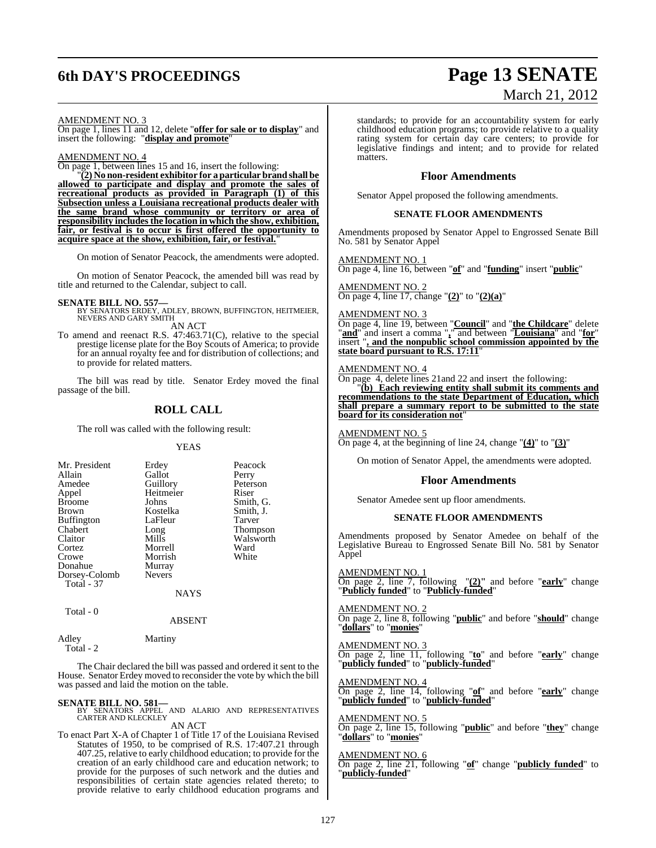# **6th DAY'S PROCEEDINGS Page 13 SENATE**

# March 21, 2012

AMENDMENT NO. 3

On page 1, lines 11 and 12, delete "**offer for sale or to display**" and insert the following: "**display and promote**"

AMENDMENT NO. 4

On page 1, between lines 15 and 16, insert the following:

"**(2) No non-resident exhibitor for a particular brand shall be allowed to participate and display and promote the sales of recreational products as provided in Paragraph (1) of this Subsection unless a Louisiana recreational products dealer with the same brand whose community or territory or area of responsibility includes the location in which the show, exhibition, fair, or festival is to occur is first offered the opportunity to acquire space at the show, exhibition, fair, or festival.**"

On motion of Senator Peacock, the amendments were adopted.

On motion of Senator Peacock, the amended bill was read by title and returned to the Calendar, subject to call.

**SENATE BILL NO. 557—**<br>BY SENATORS ERDEY, ADLEY, BROWN, BUFFINGTON, HEITMEIER,<br>NEVERS AND GARY SMITH

AN ACT

To amend and reenact R.S. 47:463.71(C), relative to the special prestige license plate for the Boy Scouts of America; to provide for an annual royalty fee and for distribution of collections; and to provide for related matters.

The bill was read by title. Senator Erdey moved the final passage of the bill.

### **ROLL CALL**

The roll was called with the following result:

#### YEAS

| Mr. President     | Erdey         | Peacock   |
|-------------------|---------------|-----------|
| Allain            | Gallot        | Perry     |
| Amedee            | Guillory      | Peterson  |
| Appel             | Heitmeier     | Riser     |
| <b>Broome</b>     | Johns         | Smith, G. |
| <b>Brown</b>      | Kostelka      | Smith, J. |
| <b>Buffington</b> | LaFleur       | Tarver    |
| Chabert           | Long          | Thompson  |
| Claitor           | Mills         | Walsworth |
| Cortez            | Morrell       | Ward      |
| Crowe             | Morrish       | White     |
| Donahue           | Murray        |           |
| Dorsey-Colomb     | <b>Nevers</b> |           |
| Total - 37        |               |           |
|                   | NAYS          |           |

 $Total - 0$ 

#### ABSENT

Adley Martiny Total - 2

The Chair declared the bill was passed and ordered it sent to the House. Senator Erdey moved to reconsider the vote by which the bill was passed and laid the motion on the table.

#### **SENATE BILL NO. 581—**

BY SENATORS APPEL AND ALARIO AND REPRESENTATIVES CARTER AND KLECKLEY

AN ACT

To enact Part X-A of Chapter 1 of Title 17 of the Louisiana Revised Statutes of 1950, to be comprised of R.S. 17:407.21 through 407.25, relative to early childhood education; to provide for the creation of an early childhood care and education network; to provide for the purposes of such network and the duties and responsibilities of certain state agencies related thereto; to provide relative to early childhood education programs and

standards; to provide for an accountability system for early childhood education programs; to provide relative to a quality rating system for certain day care centers; to provide for legislative findings and intent; and to provide for related matters.

#### **Floor Amendments**

Senator Appel proposed the following amendments.

#### **SENATE FLOOR AMENDMENTS**

Amendments proposed by Senator Appel to Engrossed Senate Bill No. 581 by Senator Appel

AMENDMENT NO. 1 On page 4, line 16, between "**of**" and "**funding**" insert "**public**"

AMENDMENT NO. 2 On page 4, line 17, change "**(2)**" to "**(2)(a)**"

#### AMENDMENT NO. 3

On page 4, line 19, between "**Council**" and "**the Childcare**" delete "**and**" and insert a comma "**,**" and between "**Louisiana**" and "**for**" insert "**, and the nonpublic school commission appointed by the state board pursuant to R.S. 17:11**"

#### AMENDMENT NO. 4

On page 4, delete lines 21and 22 and insert the following:

"**(b) Each reviewing entity shall submit its comments and recommendations to the state Department of Education, which shall prepare a summary report to be submitted to the state board for its consideration not**"

### AMENDMENT NO. 5

On page 4, at the beginning of line 24, change "**(4)**" to "**(3)**"

On motion of Senator Appel, the amendments were adopted.

#### **Floor Amendments**

Senator Amedee sent up floor amendments.

#### **SENATE FLOOR AMENDMENTS**

Amendments proposed by Senator Amedee on behalf of the Legislative Bureau to Engrossed Senate Bill No. 581 by Senator Appel

AMENDMENT NO. 1

On page 2, line 7, following "**(2)"** and before "**early**" change "**Publicly funded**" to "**Publicly-funded**"

#### AMENDMENT NO. 2

On page 2, line 8, following "**public**" and before "**should**" change "**dollars**" to "**monies**"

#### AMENDMENT NO. 3

On page 2, line 11, following "**to**" and before "**early**" change "**publicly funded**" to "**publicly-funded**"

#### AMENDMENT NO. 4

On page 2, line 14, following "**of**" and before "**early**" change "**publicly funded**" to "**publicly-funded**"

AMENDMENT NO. 5 On page 2, line 15, following "**public**" and before "**they**" change "**dollars**" to "**monies**"

#### AMENDMENT NO. 6

On page 2, line 21, following "**of**" change "**publicly funded**" to "**publicly-funded**"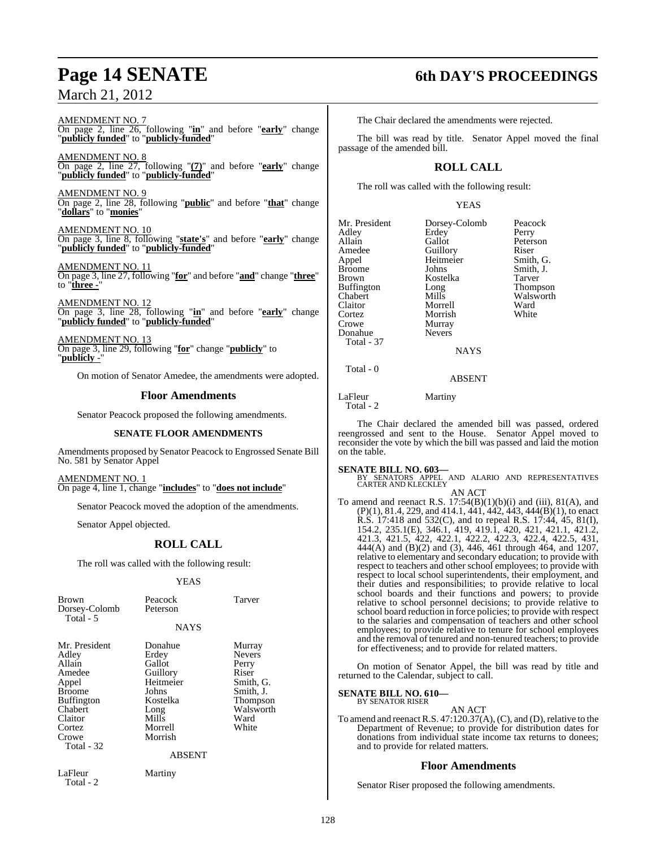AMENDMENT NO. 7 On page 2, line 26, following "**in**" and before "**early**" change "**publicly funded**" to "**publicly-funded**"

AMENDMENT NO. 8 On page 2, line 27, following "**(7)**" and before "**early**" change "**publicly funded**" to "**publicly-funded**"

AMENDMENT NO. 9 On page 2, line 28, following "**public**" and before "**that**" change "**dollars**" to "**monies**"

AMENDMENT NO. 10 On page 3, line 8, following "**state's**" and before "**early**" change "**publicly funded**" to "**publicly-funded**"

AMENDMENT NO. 11 On page 3, line 27, following "**for**" and before "**and**" change "**three**" to "**three -**"

AMEND<u>MENT NO. 12</u> On page 3, line 28, following "**in**" and before "**early**" change "**publicly funded**" to "**publicly-funded**"

AMENDMENT NO. 13 On page 3, line 29, following "**for**" change "**publicly**" to <u>"publicly -</u>

On motion of Senator Amedee, the amendments were adopted.

#### **Floor Amendments**

Senator Peacock proposed the following amendments.

#### **SENATE FLOOR AMENDMENTS**

Amendments proposed by Senator Peacock to Engrossed Senate Bill No. 581 by Senator Appel

AMENDMENT NO. 1 On page 4, line 1, change "**includes**" to "**does not include**"

Senator Peacock moved the adoption of the amendments.

Senator Appel objected.

## **ROLL CALL**

The roll was called with the following result:

#### YEAS

| <b>Brown</b><br>Dorsey-Colomb<br>Total - 5                                                                                                       | Peacock<br>Peterson                                                                                                              | Tarver                                                                                                        |
|--------------------------------------------------------------------------------------------------------------------------------------------------|----------------------------------------------------------------------------------------------------------------------------------|---------------------------------------------------------------------------------------------------------------|
|                                                                                                                                                  | <b>NAYS</b>                                                                                                                      |                                                                                                               |
| Mr. President<br>Adley<br>Allain<br>Amedee<br>Appel<br><b>Broome</b><br><b>Buffington</b><br>Chabert<br>Claitor<br>Cortez<br>Crowe<br>Total - 32 | Donahue<br>Erdey<br>Gallot<br>Guillory<br>Heitmeier<br>Johns<br>Kostelka<br>Long<br>Mills<br>Morrell<br>Morrish<br><b>ABSENT</b> | Murray<br><b>Nevers</b><br>Perry<br>Riser<br>Smith, G.<br>Smith, J.<br>Thompson<br>Walsworth<br>Ward<br>White |
| LaFleur<br>Total - 2                                                                                                                             | Martiny                                                                                                                          |                                                                                                               |

# **Page 14 SENATE 6th DAY'S PROCEEDINGS**

The Chair declared the amendments were rejected.

The bill was read by title. Senator Appel moved the final passage of the amended bill.

## **ROLL CALL**

The roll was called with the following result:

#### YEAS

| Mr. President                                                | Dorsey-Colomb                                     | Peacock   |
|--------------------------------------------------------------|---------------------------------------------------|-----------|
| Adley                                                        | Erdey                                             | Perry     |
| Allain                                                       | Gallot                                            | Peterson  |
| Amedee                                                       | Guillory                                          | Riser     |
| Appel                                                        | Heitmeier                                         | Smith, G. |
| <b>Broome</b>                                                | Johns                                             | Smith, J. |
| Brown                                                        | Kostelka                                          | Tarver    |
| <b>Buffington</b>                                            | Long                                              | Thompson  |
| Chabert                                                      | Mills                                             | Walsworth |
| Claitor                                                      | Morrell                                           | Ward      |
| Cortez<br>Crowe<br>Donahue<br><b>Total - 37</b><br>Total - 0 | Morrish<br>Murray<br><b>Nevers</b><br><b>NAYS</b> | White     |

ABSENT

LaFleur Martiny Total - 2

The Chair declared the amended bill was passed, ordered reengrossed and sent to the House. Senator Appel moved to reconsider the vote by which the bill was passed and laid the motion on the table.

#### **SENATE BILL NO. 603—**

BY SENATORS APPEL AND ALARIO AND REPRESENTATIVES CARTER AND KLECKLEY AN ACT

To amend and reenact R.S.  $17:54(B)(1)(b)(i)$  and (iii),  $81(A)$ , and  $(P)(1)$ , 81.4, 229, and 414.1, 441, 442, 443, 444 $(\vec{B})(1)$ , to enact R.S. 17:418 and 532(C), and to repeal R.S. 17:44, 45, 81(I), 154.2, 235.1(E), 346.1, 419, 419.1, 420, 421, 421.1, 421.2, 421.3, 421.5, 422, 422.1, 422.2, 422.3, 422.4, 422.5, 431, 444(A) and (B)(2) and (3), 446, 461 through 464, and 1207, relative to elementary and secondary education; to provide with respect to teachers and other school employees; to provide with respect to local school superintendents, their employment, and their duties and responsibilities; to provide relative to local school boards and their functions and powers; to provide relative to school personnel decisions; to provide relative to school board reduction in force policies; to provide with respect to the salaries and compensation of teachers and other school employees; to provide relative to tenure for school employees and the removal of tenured and non-tenured teachers; to provide for effectiveness; and to provide for related matters.

On motion of Senator Appel, the bill was read by title and returned to the Calendar, subject to call.

## **SENATE BILL NO. 610—** BY SENATOR RISER

#### AN ACT

To amend and reenact R.S. 47:120.37(A), (C), and (D), relative to the Department of Revenue; to provide for distribution dates for donations from individual state income tax returns to donees; and to provide for related matters.

### **Floor Amendments**

Senator Riser proposed the following amendments.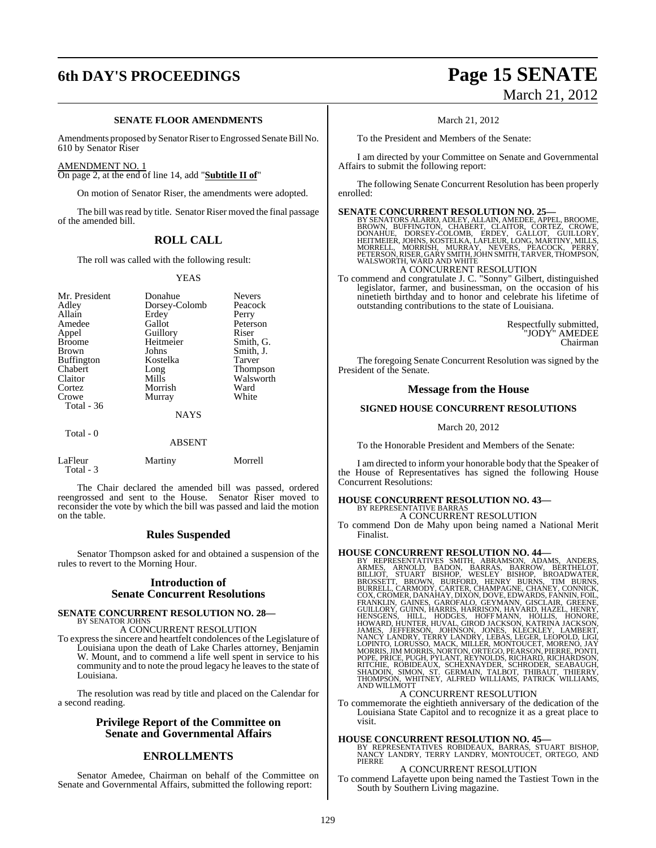## **6th DAY'S PROCEEDINGS Page 15 SENATE**

#### **SENATE FLOOR AMENDMENTS**

Amendments proposed by Senator Riser to Engrossed Senate Bill No. 610 by Senator Riser

#### AMENDMENT NO. 1

On page 2, at the end of line 14, add "**Subtitle II of**"

On motion of Senator Riser, the amendments were adopted.

The bill was read by title. Senator Riser moved the final passage of the amended bill.

#### **ROLL CALL**

The roll was called with the following result:

#### YEAS

| Mr. President<br>Adley<br>Allain<br>Amedee<br>Appel<br><b>Broome</b><br><b>Brown</b><br><b>Buffington</b><br>Chabert<br>Claitor<br>Cortez<br>Crowe | Donahue<br>Dorsey-Colomb<br>Erdey<br>Gallot<br>Guillory<br>Heitmeier<br>Johns<br>Kostelka<br>Long<br>Mills<br>Morrish<br>Murray | <b>Nevers</b><br>Peacock<br>Perry<br>Peterson<br>Riser<br>Smith, G.<br>Smith, J.<br>Tarver<br>Thompson<br>Walsworth<br>Ward<br>White |
|----------------------------------------------------------------------------------------------------------------------------------------------------|---------------------------------------------------------------------------------------------------------------------------------|--------------------------------------------------------------------------------------------------------------------------------------|
| <b>Total - 36</b>                                                                                                                                  | <b>NAYS</b>                                                                                                                     |                                                                                                                                      |
| $Total - 0$                                                                                                                                        |                                                                                                                                 |                                                                                                                                      |

**ABSENT** 

| LaFleur   | Martiny | Morrell |
|-----------|---------|---------|
| Total - 3 |         |         |

The Chair declared the amended bill was passed, ordered reengrossed and sent to the House. Senator Riser moved to reconsider the vote by which the bill was passed and laid the motion on the table.

#### **Rules Suspended**

Senator Thompson asked for and obtained a suspension of the rules to revert to the Morning Hour.

#### **Introduction of Senate Concurrent Resolutions**

#### **SENATE CONCURRENT RESOLUTION NO. 28—** BY SENATOR JOHNS

A CONCURRENT RESOLUTION

To expressthe sincere and heartfelt condolences of the Legislature of Louisiana upon the death of Lake Charles attorney, Benjamin W. Mount, and to commend a life well spent in service to his community and to note the proud legacy he leaves to the state of Louisiana.

The resolution was read by title and placed on the Calendar for a second reading.

#### **Privilege Report of the Committee on Senate and Governmental Affairs**

#### **ENROLLMENTS**

Senator Amedee, Chairman on behalf of the Committee on Senate and Governmental Affairs, submitted the following report:

# March 21, 2012

March 21, 2012

To the President and Members of the Senate:

I am directed by your Committee on Senate and Governmental Affairs to submit the following report:

The following Senate Concurrent Resolution has been properly enrolled:

#### **SENATE CONCURRENT RESOLUTION NO. 25—**

BY SENATORS ALARIO, ADLEY, ALLAIN, AMEDEE, APPEL, BROOME,<br>BROWN, BUFFINGTON, CHABERT, CLAITOR, CORTEZ, CROWE,<br>DONAHUE, DORSEY-COLOMB, ERDEY, GALLOT, GUILLORY,<br>HEITMEIER, JOHNS, KOSTELKA, LAFLEUR, LONG, MARTINY, MILLS,<br>MORR A CONCURRENT RESOLUTION

To commend and congratulate J. C. "Sonny" Gilbert, distinguished legislator, farmer, and businessman, on the occasion of his ninetieth birthday and to honor and celebrate his lifetime of outstanding contributions to the state of Louisiana.

> Respectfully submitted, "JODY" AMEDEE Chairman

The foregoing Senate Concurrent Resolution was signed by the President of the Senate.

#### **Message from the House**

#### **SIGNED HOUSE CONCURRENT RESOLUTIONS**

March 20, 2012

To the Honorable President and Members of the Senate:

I am directed to inform your honorable body that the Speaker of the House of Representatives has signed the following House Concurrent Resolutions:

#### **HOUSE CONCURRENT RESOLUTION NO. 43—** BY REPRESENTATIVE BARRAS

A CONCURRENT RESOLUTION

To commend Don de Mahy upon being named a National Merit Finalist.

#### **HOUSE CONCURRENT RESOLUTION NO. 44—**

BY REPRESENTATIVES SMITH, ABRAMSON, ADAMS, ANDERS, ARMES, ARNOLD, BADON, BARKAS, BRILLIOT, STUART BISHOP, WESLEY BISHOP, BROADWATER, BURSCSEIT, BROWN, BURFORD, HENRY BURSCE, HANGANIN, GONNICK, CONNICK, BURRELL, CARMODY, CA

To commemorate the eightieth anniversary of the dedication of the Louisiana State Capitol and to recognize it as a great place to visit.

**HOUSE CONCURRENT RESOLUTION NO. 45—**<br>BY REPRESENTATIVES ROBIDEAUX, BARRAS, STUART BISHOP,<br>NANCY LANDRY, TERRY LANDRY, MONTOUCET, ORTEGO, AND<br>PIERRE

#### A CONCURRENT RESOLUTION

To commend Lafayette upon being named the Tastiest Town in the South by Southern Living magazine.